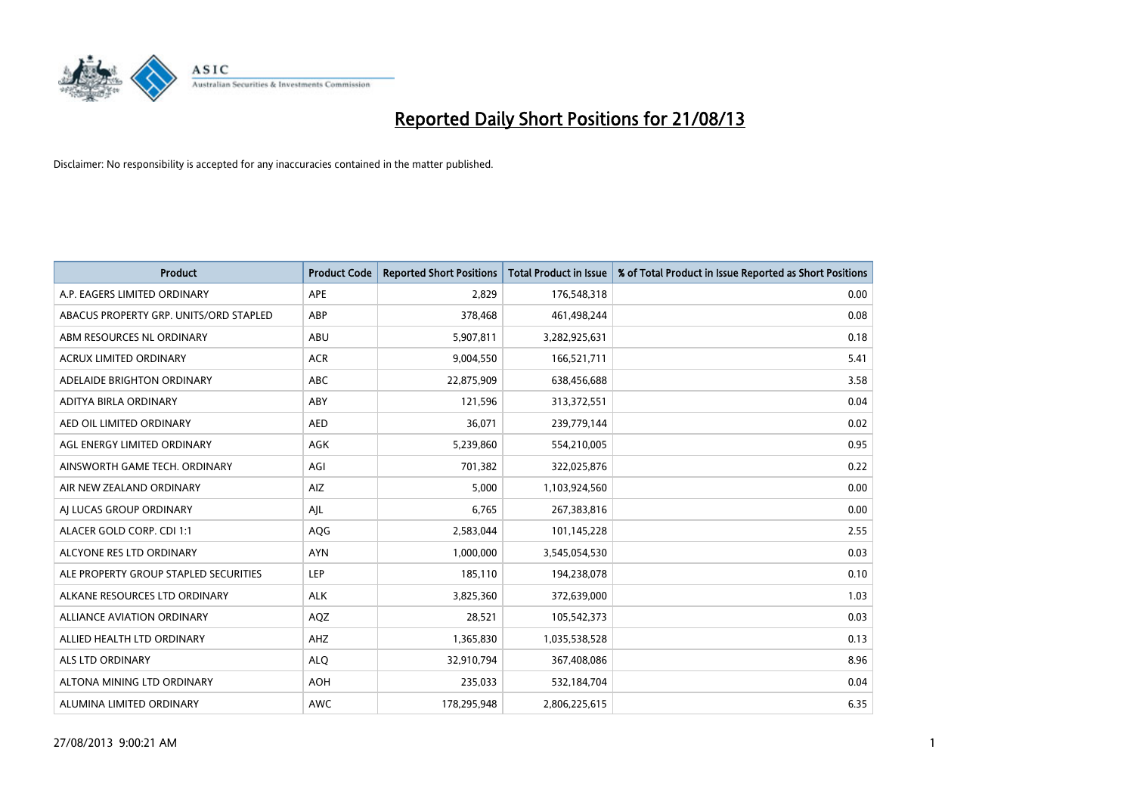

| <b>Product</b>                         | <b>Product Code</b> | <b>Reported Short Positions</b> | <b>Total Product in Issue</b> | % of Total Product in Issue Reported as Short Positions |
|----------------------------------------|---------------------|---------------------------------|-------------------------------|---------------------------------------------------------|
| A.P. EAGERS LIMITED ORDINARY           | <b>APE</b>          | 2,829                           | 176,548,318                   | 0.00                                                    |
| ABACUS PROPERTY GRP. UNITS/ORD STAPLED | ABP                 | 378,468                         | 461,498,244                   | 0.08                                                    |
| ABM RESOURCES NL ORDINARY              | ABU                 | 5,907,811                       | 3,282,925,631                 | 0.18                                                    |
| <b>ACRUX LIMITED ORDINARY</b>          | <b>ACR</b>          | 9,004,550                       | 166,521,711                   | 5.41                                                    |
| ADELAIDE BRIGHTON ORDINARY             | <b>ABC</b>          | 22,875,909                      | 638,456,688                   | 3.58                                                    |
| ADITYA BIRLA ORDINARY                  | ABY                 | 121,596                         | 313,372,551                   | 0.04                                                    |
| AED OIL LIMITED ORDINARY               | <b>AED</b>          | 36,071                          | 239,779,144                   | 0.02                                                    |
| AGL ENERGY LIMITED ORDINARY            | AGK                 | 5,239,860                       | 554,210,005                   | 0.95                                                    |
| AINSWORTH GAME TECH. ORDINARY          | AGI                 | 701,382                         | 322,025,876                   | 0.22                                                    |
| AIR NEW ZEALAND ORDINARY               | AIZ                 | 5,000                           | 1,103,924,560                 | 0.00                                                    |
| AJ LUCAS GROUP ORDINARY                | AJL                 | 6,765                           | 267,383,816                   | 0.00                                                    |
| ALACER GOLD CORP. CDI 1:1              | AQG                 | 2,583,044                       | 101,145,228                   | 2.55                                                    |
| ALCYONE RES LTD ORDINARY               | <b>AYN</b>          | 1,000,000                       | 3,545,054,530                 | 0.03                                                    |
| ALE PROPERTY GROUP STAPLED SECURITIES  | <b>LEP</b>          | 185,110                         | 194,238,078                   | 0.10                                                    |
| ALKANE RESOURCES LTD ORDINARY          | <b>ALK</b>          | 3,825,360                       | 372,639,000                   | 1.03                                                    |
| <b>ALLIANCE AVIATION ORDINARY</b>      | AQZ                 | 28,521                          | 105,542,373                   | 0.03                                                    |
| ALLIED HEALTH LTD ORDINARY             | AHZ                 | 1,365,830                       | 1,035,538,528                 | 0.13                                                    |
| ALS LTD ORDINARY                       | <b>ALQ</b>          | 32,910,794                      | 367,408,086                   | 8.96                                                    |
| ALTONA MINING LTD ORDINARY             | <b>AOH</b>          | 235,033                         | 532,184,704                   | 0.04                                                    |
| ALUMINA LIMITED ORDINARY               | <b>AWC</b>          | 178,295,948                     | 2,806,225,615                 | 6.35                                                    |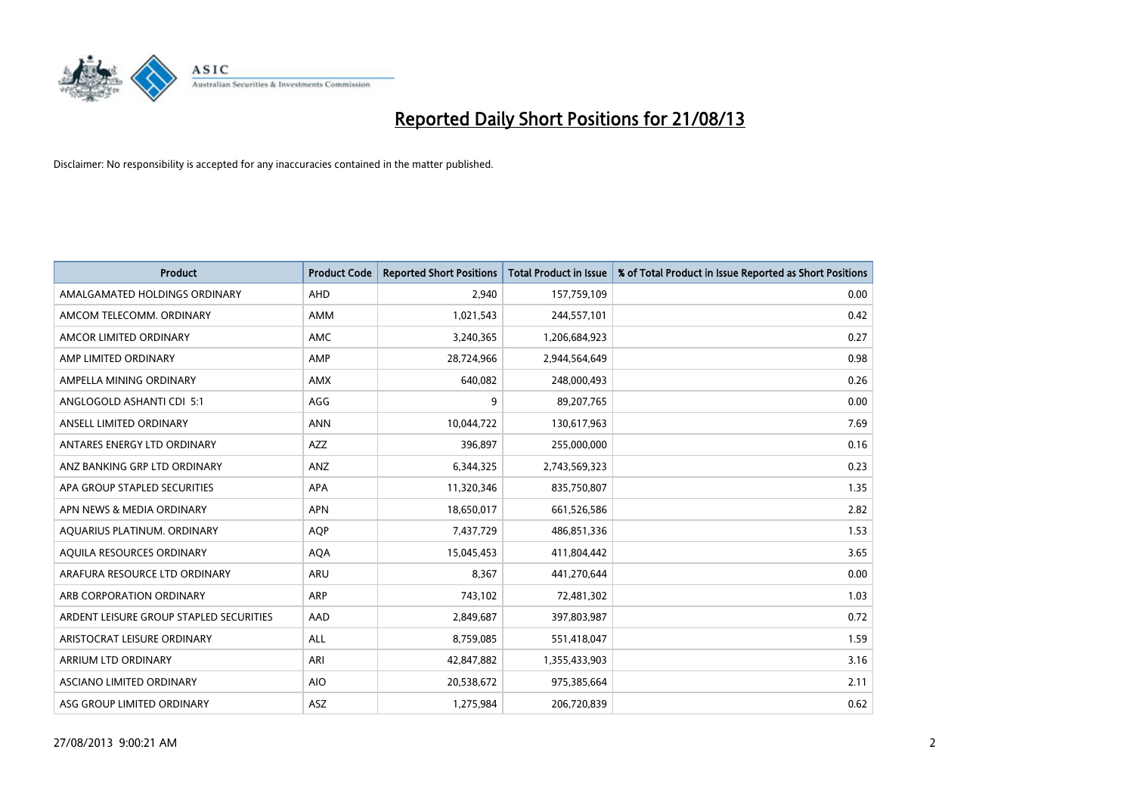

| <b>Product</b>                          | <b>Product Code</b> | <b>Reported Short Positions</b> | <b>Total Product in Issue</b> | % of Total Product in Issue Reported as Short Positions |
|-----------------------------------------|---------------------|---------------------------------|-------------------------------|---------------------------------------------------------|
| AMALGAMATED HOLDINGS ORDINARY           | AHD                 | 2,940                           | 157,759,109                   | 0.00                                                    |
| AMCOM TELECOMM. ORDINARY                | AMM                 | 1,021,543                       | 244,557,101                   | 0.42                                                    |
| AMCOR LIMITED ORDINARY                  | AMC                 | 3,240,365                       | 1,206,684,923                 | 0.27                                                    |
| AMP LIMITED ORDINARY                    | AMP                 | 28,724,966                      | 2,944,564,649                 | 0.98                                                    |
| AMPELLA MINING ORDINARY                 | <b>AMX</b>          | 640,082                         | 248,000,493                   | 0.26                                                    |
| ANGLOGOLD ASHANTI CDI 5:1               | AGG                 | 9                               | 89,207,765                    | 0.00                                                    |
| ANSELL LIMITED ORDINARY                 | <b>ANN</b>          | 10,044,722                      | 130,617,963                   | 7.69                                                    |
| ANTARES ENERGY LTD ORDINARY             | AZZ                 | 396,897                         | 255,000,000                   | 0.16                                                    |
| ANZ BANKING GRP LTD ORDINARY            | ANZ                 | 6,344,325                       | 2,743,569,323                 | 0.23                                                    |
| APA GROUP STAPLED SECURITIES            | <b>APA</b>          | 11,320,346                      | 835,750,807                   | 1.35                                                    |
| APN NEWS & MEDIA ORDINARY               | <b>APN</b>          | 18,650,017                      | 661,526,586                   | 2.82                                                    |
| AQUARIUS PLATINUM. ORDINARY             | <b>AQP</b>          | 7,437,729                       | 486,851,336                   | 1.53                                                    |
| AQUILA RESOURCES ORDINARY               | <b>AQA</b>          | 15,045,453                      | 411,804,442                   | 3.65                                                    |
| ARAFURA RESOURCE LTD ORDINARY           | ARU                 | 8,367                           | 441,270,644                   | 0.00                                                    |
| ARB CORPORATION ORDINARY                | <b>ARP</b>          | 743,102                         | 72,481,302                    | 1.03                                                    |
| ARDENT LEISURE GROUP STAPLED SECURITIES | AAD                 | 2,849,687                       | 397,803,987                   | 0.72                                                    |
| ARISTOCRAT LEISURE ORDINARY             | ALL                 | 8,759,085                       | 551,418,047                   | 1.59                                                    |
| ARRIUM LTD ORDINARY                     | ARI                 | 42,847,882                      | 1,355,433,903                 | 3.16                                                    |
| ASCIANO LIMITED ORDINARY                | <b>AIO</b>          | 20,538,672                      | 975,385,664                   | 2.11                                                    |
| ASG GROUP LIMITED ORDINARY              | ASZ                 | 1,275,984                       | 206,720,839                   | 0.62                                                    |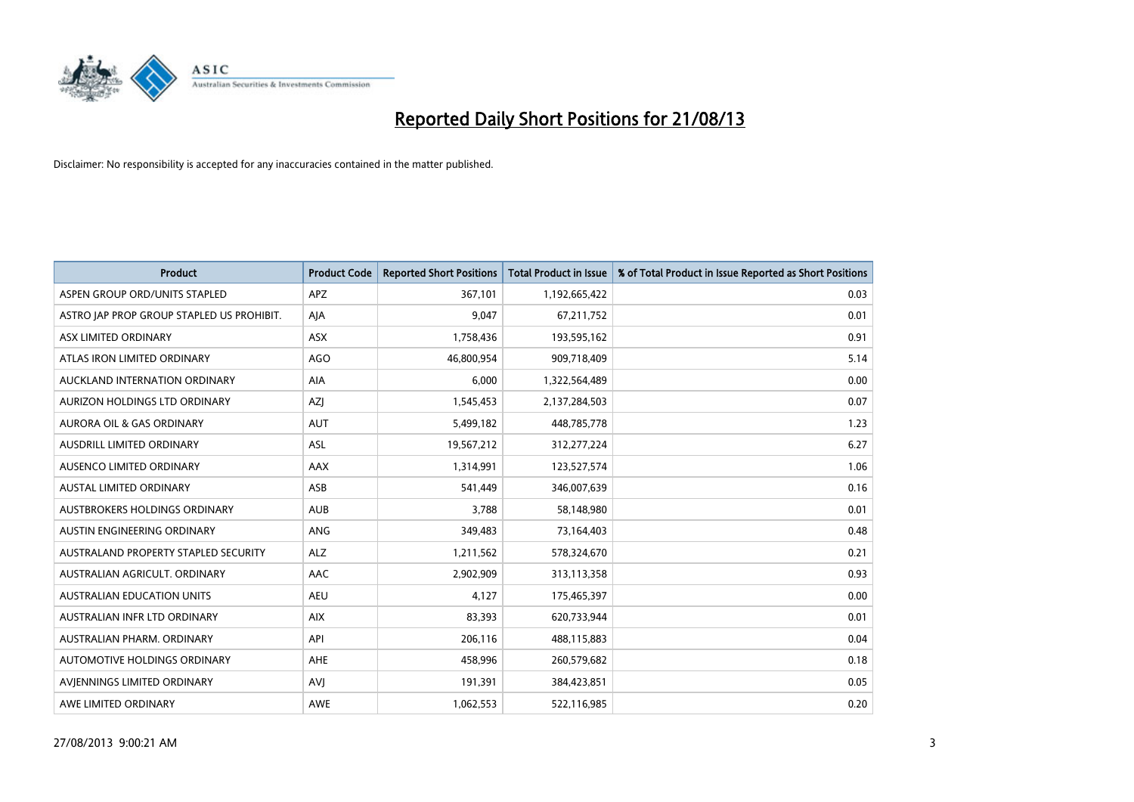

| <b>Product</b>                            | <b>Product Code</b> | <b>Reported Short Positions</b> | <b>Total Product in Issue</b> | % of Total Product in Issue Reported as Short Positions |
|-------------------------------------------|---------------------|---------------------------------|-------------------------------|---------------------------------------------------------|
| ASPEN GROUP ORD/UNITS STAPLED             | <b>APZ</b>          | 367,101                         | 1,192,665,422                 | 0.03                                                    |
| ASTRO JAP PROP GROUP STAPLED US PROHIBIT. | AJA                 | 9,047                           | 67,211,752                    | 0.01                                                    |
| ASX LIMITED ORDINARY                      | <b>ASX</b>          | 1,758,436                       | 193,595,162                   | 0.91                                                    |
| ATLAS IRON LIMITED ORDINARY               | <b>AGO</b>          | 46,800,954                      | 909,718,409                   | 5.14                                                    |
| AUCKLAND INTERNATION ORDINARY             | AIA                 | 6,000                           | 1,322,564,489                 | 0.00                                                    |
| AURIZON HOLDINGS LTD ORDINARY             | AZJ                 | 1,545,453                       | 2,137,284,503                 | 0.07                                                    |
| AURORA OIL & GAS ORDINARY                 | <b>AUT</b>          | 5,499,182                       | 448,785,778                   | 1.23                                                    |
| AUSDRILL LIMITED ORDINARY                 | ASL                 | 19,567,212                      | 312,277,224                   | 6.27                                                    |
| AUSENCO LIMITED ORDINARY                  | AAX                 | 1,314,991                       | 123,527,574                   | 1.06                                                    |
| <b>AUSTAL LIMITED ORDINARY</b>            | ASB                 | 541,449                         | 346,007,639                   | 0.16                                                    |
| AUSTBROKERS HOLDINGS ORDINARY             | <b>AUB</b>          | 3,788                           | 58,148,980                    | 0.01                                                    |
| AUSTIN ENGINEERING ORDINARY               | <b>ANG</b>          | 349,483                         | 73,164,403                    | 0.48                                                    |
| AUSTRALAND PROPERTY STAPLED SECURITY      | <b>ALZ</b>          | 1,211,562                       | 578,324,670                   | 0.21                                                    |
| AUSTRALIAN AGRICULT, ORDINARY             | AAC                 | 2,902,909                       | 313,113,358                   | 0.93                                                    |
| <b>AUSTRALIAN EDUCATION UNITS</b>         | <b>AEU</b>          | 4,127                           | 175,465,397                   | 0.00                                                    |
| AUSTRALIAN INFR LTD ORDINARY              | <b>AIX</b>          | 83,393                          | 620,733,944                   | 0.01                                                    |
| AUSTRALIAN PHARM. ORDINARY                | API                 | 206,116                         | 488,115,883                   | 0.04                                                    |
| AUTOMOTIVE HOLDINGS ORDINARY              | <b>AHE</b>          | 458,996                         | 260,579,682                   | 0.18                                                    |
| AVIENNINGS LIMITED ORDINARY               | <b>AVI</b>          | 191,391                         | 384,423,851                   | 0.05                                                    |
| AWE LIMITED ORDINARY                      | AWE                 | 1,062,553                       | 522,116,985                   | 0.20                                                    |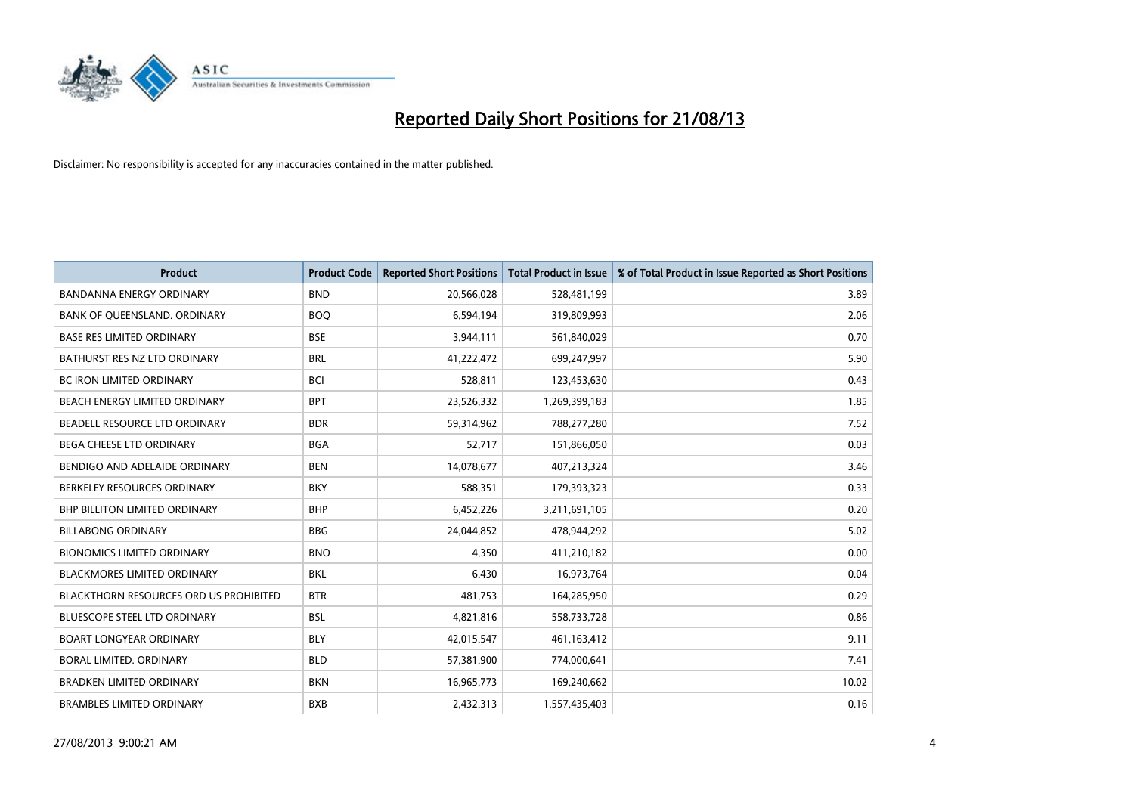

| <b>Product</b>                                | <b>Product Code</b> | <b>Reported Short Positions</b> | <b>Total Product in Issue</b> | % of Total Product in Issue Reported as Short Positions |
|-----------------------------------------------|---------------------|---------------------------------|-------------------------------|---------------------------------------------------------|
| <b>BANDANNA ENERGY ORDINARY</b>               | <b>BND</b>          | 20,566,028                      | 528,481,199                   | 3.89                                                    |
| BANK OF QUEENSLAND. ORDINARY                  | <b>BOQ</b>          | 6,594,194                       | 319,809,993                   | 2.06                                                    |
| <b>BASE RES LIMITED ORDINARY</b>              | <b>BSE</b>          | 3,944,111                       | 561,840,029                   | 0.70                                                    |
| BATHURST RES NZ LTD ORDINARY                  | <b>BRL</b>          | 41,222,472                      | 699,247,997                   | 5.90                                                    |
| <b>BC IRON LIMITED ORDINARY</b>               | <b>BCI</b>          | 528,811                         | 123,453,630                   | 0.43                                                    |
| BEACH ENERGY LIMITED ORDINARY                 | <b>BPT</b>          | 23,526,332                      | 1,269,399,183                 | 1.85                                                    |
| BEADELL RESOURCE LTD ORDINARY                 | <b>BDR</b>          | 59,314,962                      | 788,277,280                   | 7.52                                                    |
| <b>BEGA CHEESE LTD ORDINARY</b>               | <b>BGA</b>          | 52,717                          | 151,866,050                   | 0.03                                                    |
| BENDIGO AND ADELAIDE ORDINARY                 | <b>BEN</b>          | 14,078,677                      | 407,213,324                   | 3.46                                                    |
| BERKELEY RESOURCES ORDINARY                   | <b>BKY</b>          | 588,351                         | 179,393,323                   | 0.33                                                    |
| BHP BILLITON LIMITED ORDINARY                 | <b>BHP</b>          | 6,452,226                       | 3,211,691,105                 | 0.20                                                    |
| <b>BILLABONG ORDINARY</b>                     | <b>BBG</b>          | 24,044,852                      | 478,944,292                   | 5.02                                                    |
| <b>BIONOMICS LIMITED ORDINARY</b>             | <b>BNO</b>          | 4,350                           | 411,210,182                   | 0.00                                                    |
| <b>BLACKMORES LIMITED ORDINARY</b>            | <b>BKL</b>          | 6,430                           | 16,973,764                    | 0.04                                                    |
| <b>BLACKTHORN RESOURCES ORD US PROHIBITED</b> | <b>BTR</b>          | 481,753                         | 164,285,950                   | 0.29                                                    |
| BLUESCOPE STEEL LTD ORDINARY                  | <b>BSL</b>          | 4,821,816                       | 558,733,728                   | 0.86                                                    |
| <b>BOART LONGYEAR ORDINARY</b>                | <b>BLY</b>          | 42,015,547                      | 461,163,412                   | 9.11                                                    |
| <b>BORAL LIMITED, ORDINARY</b>                | <b>BLD</b>          | 57,381,900                      | 774,000,641                   | 7.41                                                    |
| <b>BRADKEN LIMITED ORDINARY</b>               | <b>BKN</b>          | 16,965,773                      | 169,240,662                   | 10.02                                                   |
| <b>BRAMBLES LIMITED ORDINARY</b>              | <b>BXB</b>          | 2,432,313                       | 1,557,435,403                 | 0.16                                                    |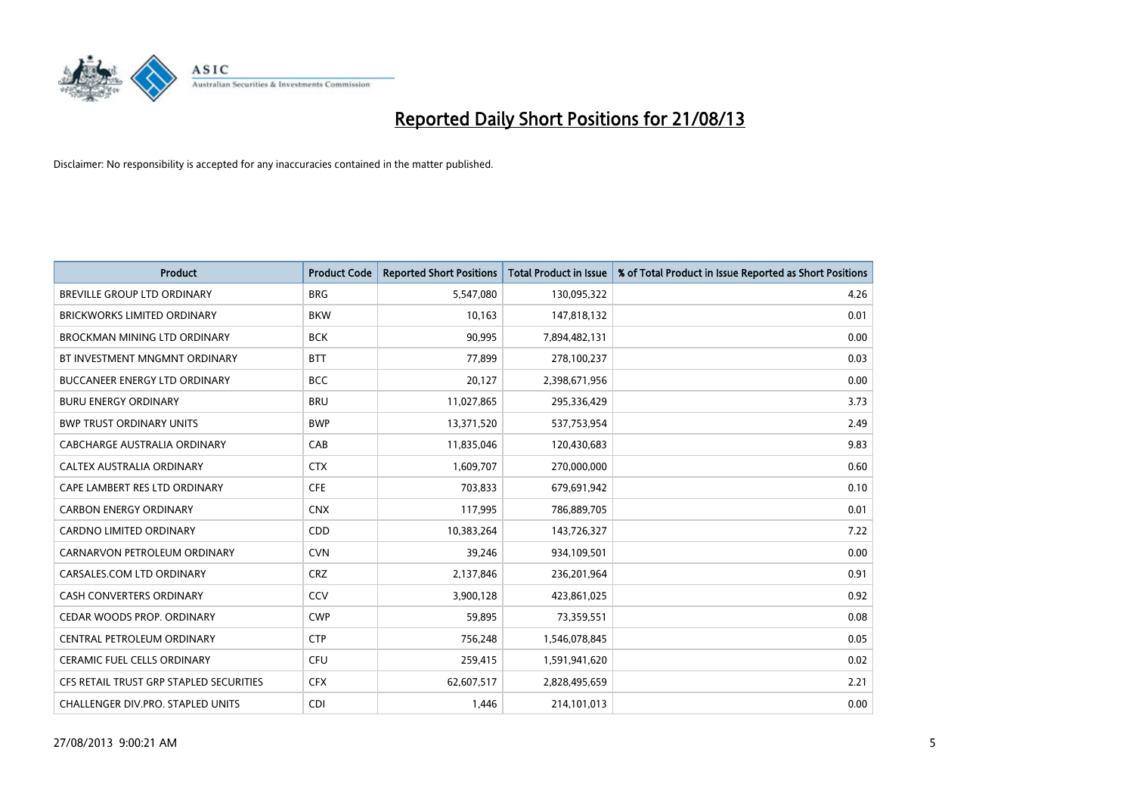

| <b>Product</b>                          | <b>Product Code</b> | <b>Reported Short Positions</b> | <b>Total Product in Issue</b> | % of Total Product in Issue Reported as Short Positions |
|-----------------------------------------|---------------------|---------------------------------|-------------------------------|---------------------------------------------------------|
| <b>BREVILLE GROUP LTD ORDINARY</b>      | <b>BRG</b>          | 5,547,080                       | 130,095,322                   | 4.26                                                    |
| <b>BRICKWORKS LIMITED ORDINARY</b>      | <b>BKW</b>          | 10,163                          | 147,818,132                   | 0.01                                                    |
| <b>BROCKMAN MINING LTD ORDINARY</b>     | <b>BCK</b>          | 90,995                          | 7,894,482,131                 | 0.00                                                    |
| BT INVESTMENT MNGMNT ORDINARY           | <b>BTT</b>          | 77,899                          | 278,100,237                   | 0.03                                                    |
| <b>BUCCANEER ENERGY LTD ORDINARY</b>    | <b>BCC</b>          | 20,127                          | 2,398,671,956                 | 0.00                                                    |
| <b>BURU ENERGY ORDINARY</b>             | <b>BRU</b>          | 11,027,865                      | 295,336,429                   | 3.73                                                    |
| <b>BWP TRUST ORDINARY UNITS</b>         | <b>BWP</b>          | 13,371,520                      | 537,753,954                   | 2.49                                                    |
| CABCHARGE AUSTRALIA ORDINARY            | CAB                 | 11,835,046                      | 120,430,683                   | 9.83                                                    |
| CALTEX AUSTRALIA ORDINARY               | <b>CTX</b>          | 1,609,707                       | 270,000,000                   | 0.60                                                    |
| CAPE LAMBERT RES LTD ORDINARY           | <b>CFE</b>          | 703,833                         | 679,691,942                   | 0.10                                                    |
| <b>CARBON ENERGY ORDINARY</b>           | <b>CNX</b>          | 117,995                         | 786,889,705                   | 0.01                                                    |
| <b>CARDNO LIMITED ORDINARY</b>          | CDD                 | 10,383,264                      | 143,726,327                   | 7.22                                                    |
| CARNARVON PETROLEUM ORDINARY            | <b>CVN</b>          | 39,246                          | 934,109,501                   | 0.00                                                    |
| CARSALES.COM LTD ORDINARY               | <b>CRZ</b>          | 2,137,846                       | 236,201,964                   | 0.91                                                    |
| <b>CASH CONVERTERS ORDINARY</b>         | CCV                 | 3,900,128                       | 423,861,025                   | 0.92                                                    |
| CEDAR WOODS PROP. ORDINARY              | <b>CWP</b>          | 59,895                          | 73,359,551                    | 0.08                                                    |
| CENTRAL PETROLEUM ORDINARY              | <b>CTP</b>          | 756,248                         | 1,546,078,845                 | 0.05                                                    |
| CERAMIC FUEL CELLS ORDINARY             | <b>CFU</b>          | 259,415                         | 1,591,941,620                 | 0.02                                                    |
| CFS RETAIL TRUST GRP STAPLED SECURITIES | <b>CFX</b>          | 62,607,517                      | 2,828,495,659                 | 2.21                                                    |
| CHALLENGER DIV.PRO. STAPLED UNITS       | <b>CDI</b>          | 1,446                           | 214,101,013                   | 0.00                                                    |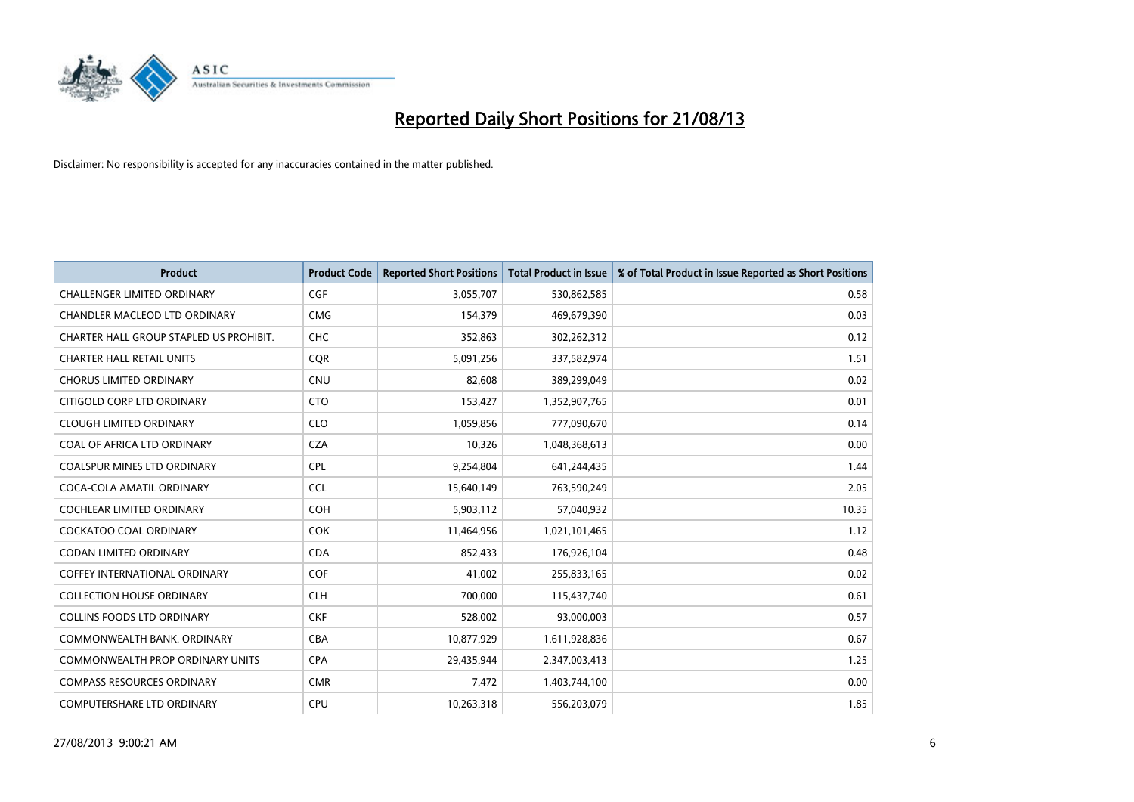

| <b>Product</b>                          | <b>Product Code</b> | <b>Reported Short Positions</b> | <b>Total Product in Issue</b> | % of Total Product in Issue Reported as Short Positions |
|-----------------------------------------|---------------------|---------------------------------|-------------------------------|---------------------------------------------------------|
| <b>CHALLENGER LIMITED ORDINARY</b>      | <b>CGF</b>          | 3,055,707                       | 530,862,585                   | 0.58                                                    |
| CHANDLER MACLEOD LTD ORDINARY           | <b>CMG</b>          | 154,379                         | 469,679,390                   | 0.03                                                    |
| CHARTER HALL GROUP STAPLED US PROHIBIT. | <b>CHC</b>          | 352,863                         | 302,262,312                   | 0.12                                                    |
| <b>CHARTER HALL RETAIL UNITS</b>        | <b>CQR</b>          | 5,091,256                       | 337,582,974                   | 1.51                                                    |
| <b>CHORUS LIMITED ORDINARY</b>          | <b>CNU</b>          | 82,608                          | 389,299,049                   | 0.02                                                    |
| CITIGOLD CORP LTD ORDINARY              | <b>CTO</b>          | 153,427                         | 1,352,907,765                 | 0.01                                                    |
| <b>CLOUGH LIMITED ORDINARY</b>          | <b>CLO</b>          | 1,059,856                       | 777,090,670                   | 0.14                                                    |
| COAL OF AFRICA LTD ORDINARY             | <b>CZA</b>          | 10,326                          | 1,048,368,613                 | 0.00                                                    |
| <b>COALSPUR MINES LTD ORDINARY</b>      | <b>CPL</b>          | 9,254,804                       | 641,244,435                   | 1.44                                                    |
| COCA-COLA AMATIL ORDINARY               | <b>CCL</b>          | 15,640,149                      | 763,590,249                   | 2.05                                                    |
| COCHLEAR LIMITED ORDINARY               | <b>COH</b>          | 5,903,112                       | 57,040,932                    | 10.35                                                   |
| <b>COCKATOO COAL ORDINARY</b>           | <b>COK</b>          | 11,464,956                      | 1,021,101,465                 | 1.12                                                    |
| <b>CODAN LIMITED ORDINARY</b>           | <b>CDA</b>          | 852,433                         | 176,926,104                   | 0.48                                                    |
| <b>COFFEY INTERNATIONAL ORDINARY</b>    | <b>COF</b>          | 41,002                          | 255,833,165                   | 0.02                                                    |
| <b>COLLECTION HOUSE ORDINARY</b>        | <b>CLH</b>          | 700,000                         | 115,437,740                   | 0.61                                                    |
| <b>COLLINS FOODS LTD ORDINARY</b>       | <b>CKF</b>          | 528,002                         | 93,000,003                    | 0.57                                                    |
| COMMONWEALTH BANK, ORDINARY             | <b>CBA</b>          | 10,877,929                      | 1,611,928,836                 | 0.67                                                    |
| <b>COMMONWEALTH PROP ORDINARY UNITS</b> | <b>CPA</b>          | 29,435,944                      | 2,347,003,413                 | 1.25                                                    |
| <b>COMPASS RESOURCES ORDINARY</b>       | <b>CMR</b>          | 7,472                           | 1,403,744,100                 | 0.00                                                    |
| COMPUTERSHARE LTD ORDINARY              | <b>CPU</b>          | 10,263,318                      | 556,203,079                   | 1.85                                                    |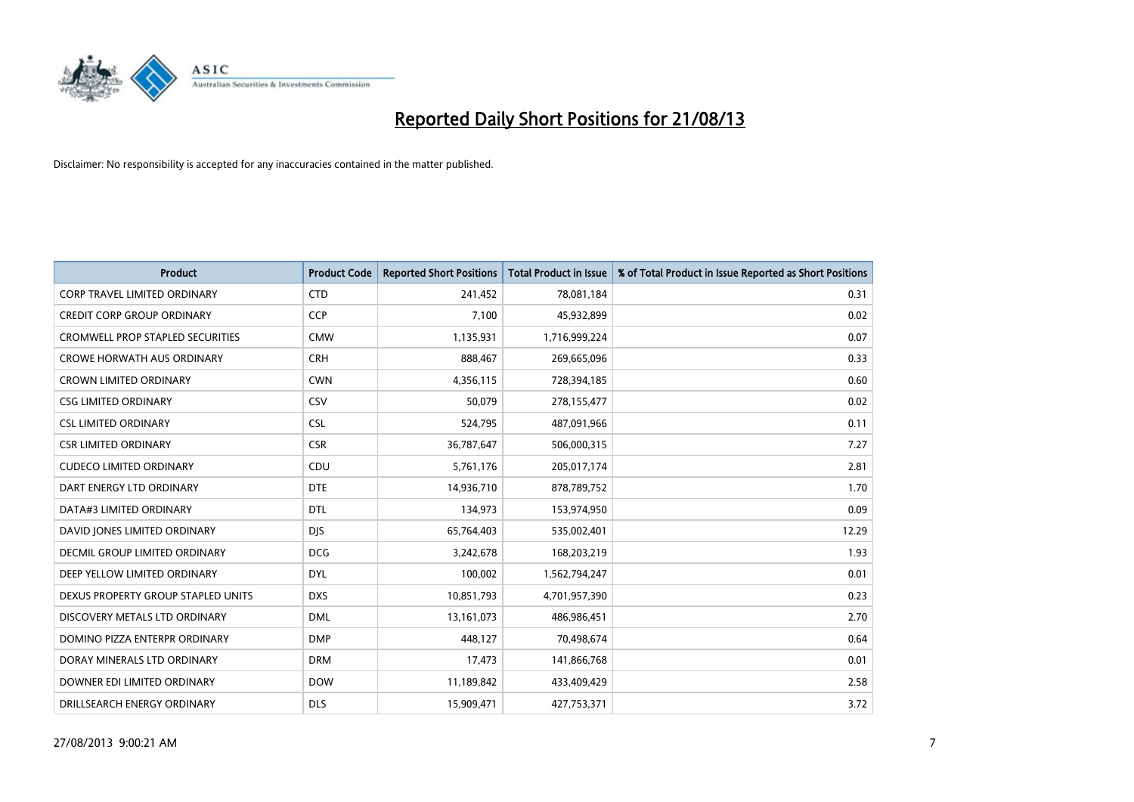

| <b>Product</b>                          | <b>Product Code</b> | <b>Reported Short Positions</b> | <b>Total Product in Issue</b> | % of Total Product in Issue Reported as Short Positions |
|-----------------------------------------|---------------------|---------------------------------|-------------------------------|---------------------------------------------------------|
| <b>CORP TRAVEL LIMITED ORDINARY</b>     | <b>CTD</b>          | 241,452                         | 78,081,184                    | 0.31                                                    |
| <b>CREDIT CORP GROUP ORDINARY</b>       | <b>CCP</b>          | 7,100                           | 45,932,899                    | 0.02                                                    |
| <b>CROMWELL PROP STAPLED SECURITIES</b> | <b>CMW</b>          | 1,135,931                       | 1,716,999,224                 | 0.07                                                    |
| <b>CROWE HORWATH AUS ORDINARY</b>       | <b>CRH</b>          | 888,467                         | 269,665,096                   | 0.33                                                    |
| <b>CROWN LIMITED ORDINARY</b>           | <b>CWN</b>          | 4,356,115                       | 728,394,185                   | 0.60                                                    |
| <b>CSG LIMITED ORDINARY</b>             | CSV                 | 50,079                          | 278,155,477                   | 0.02                                                    |
| <b>CSL LIMITED ORDINARY</b>             | <b>CSL</b>          | 524,795                         | 487,091,966                   | 0.11                                                    |
| <b>CSR LIMITED ORDINARY</b>             | <b>CSR</b>          | 36,787,647                      | 506,000,315                   | 7.27                                                    |
| <b>CUDECO LIMITED ORDINARY</b>          | CDU                 | 5,761,176                       | 205,017,174                   | 2.81                                                    |
| DART ENERGY LTD ORDINARY                | <b>DTE</b>          | 14,936,710                      | 878,789,752                   | 1.70                                                    |
| DATA#3 LIMITED ORDINARY                 | DTL                 | 134,973                         | 153,974,950                   | 0.09                                                    |
| DAVID JONES LIMITED ORDINARY            | <b>DJS</b>          | 65,764,403                      | 535,002,401                   | 12.29                                                   |
| <b>DECMIL GROUP LIMITED ORDINARY</b>    | <b>DCG</b>          | 3,242,678                       | 168,203,219                   | 1.93                                                    |
| DEEP YELLOW LIMITED ORDINARY            | <b>DYL</b>          | 100,002                         | 1,562,794,247                 | 0.01                                                    |
| DEXUS PROPERTY GROUP STAPLED UNITS      | <b>DXS</b>          | 10,851,793                      | 4,701,957,390                 | 0.23                                                    |
| DISCOVERY METALS LTD ORDINARY           | <b>DML</b>          | 13,161,073                      | 486,986,451                   | 2.70                                                    |
| DOMINO PIZZA ENTERPR ORDINARY           | <b>DMP</b>          | 448,127                         | 70,498,674                    | 0.64                                                    |
| DORAY MINERALS LTD ORDINARY             | <b>DRM</b>          | 17,473                          | 141,866,768                   | 0.01                                                    |
| DOWNER EDI LIMITED ORDINARY             | <b>DOW</b>          | 11,189,842                      | 433,409,429                   | 2.58                                                    |
| DRILLSEARCH ENERGY ORDINARY             | <b>DLS</b>          | 15,909,471                      | 427,753,371                   | 3.72                                                    |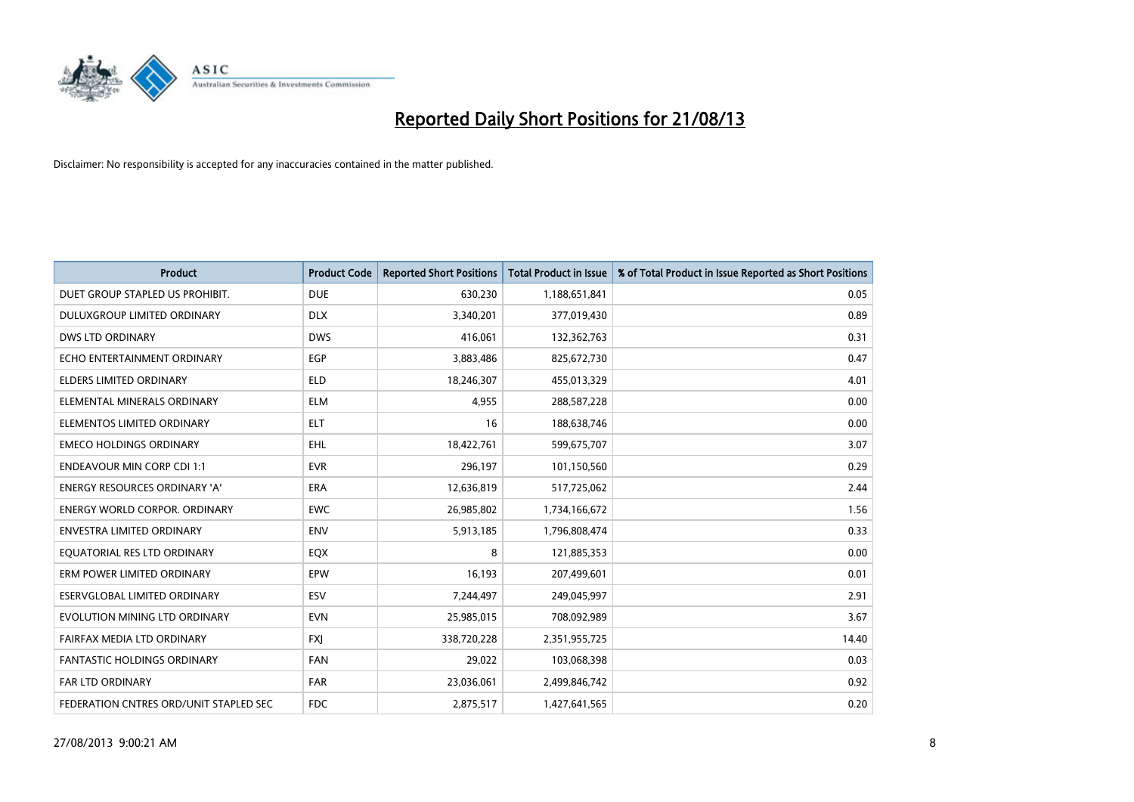

| <b>Product</b>                         | <b>Product Code</b> | <b>Reported Short Positions</b> | <b>Total Product in Issue</b> | % of Total Product in Issue Reported as Short Positions |
|----------------------------------------|---------------------|---------------------------------|-------------------------------|---------------------------------------------------------|
| DUET GROUP STAPLED US PROHIBIT.        | <b>DUE</b>          | 630,230                         | 1,188,651,841                 | 0.05                                                    |
| DULUXGROUP LIMITED ORDINARY            | <b>DLX</b>          | 3,340,201                       | 377,019,430                   | 0.89                                                    |
| <b>DWS LTD ORDINARY</b>                | <b>DWS</b>          | 416,061                         | 132,362,763                   | 0.31                                                    |
| ECHO ENTERTAINMENT ORDINARY            | <b>EGP</b>          | 3,883,486                       | 825,672,730                   | 0.47                                                    |
| <b>ELDERS LIMITED ORDINARY</b>         | <b>ELD</b>          | 18,246,307                      | 455,013,329                   | 4.01                                                    |
| ELEMENTAL MINERALS ORDINARY            | <b>ELM</b>          | 4,955                           | 288,587,228                   | 0.00                                                    |
| ELEMENTOS LIMITED ORDINARY             | ELT                 | 16                              | 188,638,746                   | 0.00                                                    |
| <b>EMECO HOLDINGS ORDINARY</b>         | <b>EHL</b>          | 18,422,761                      | 599,675,707                   | 3.07                                                    |
| <b>ENDEAVOUR MIN CORP CDI 1:1</b>      | <b>EVR</b>          | 296,197                         | 101,150,560                   | 0.29                                                    |
| <b>ENERGY RESOURCES ORDINARY 'A'</b>   | <b>ERA</b>          | 12,636,819                      | 517,725,062                   | 2.44                                                    |
| <b>ENERGY WORLD CORPOR, ORDINARY</b>   | <b>EWC</b>          | 26,985,802                      | 1,734,166,672                 | 1.56                                                    |
| ENVESTRA LIMITED ORDINARY              | ENV                 | 5,913,185                       | 1,796,808,474                 | 0.33                                                    |
| EQUATORIAL RES LTD ORDINARY            | EQX                 | 8                               | 121,885,353                   | 0.00                                                    |
| ERM POWER LIMITED ORDINARY             | EPW                 | 16,193                          | 207,499,601                   | 0.01                                                    |
| ESERVGLOBAL LIMITED ORDINARY           | ESV                 | 7,244,497                       | 249,045,997                   | 2.91                                                    |
| EVOLUTION MINING LTD ORDINARY          | <b>EVN</b>          | 25,985,015                      | 708,092,989                   | 3.67                                                    |
| FAIRFAX MEDIA LTD ORDINARY             | FXJ                 | 338,720,228                     | 2,351,955,725                 | 14.40                                                   |
| FANTASTIC HOLDINGS ORDINARY            | <b>FAN</b>          | 29,022                          | 103,068,398                   | 0.03                                                    |
| FAR LTD ORDINARY                       | <b>FAR</b>          | 23,036,061                      | 2,499,846,742                 | 0.92                                                    |
| FEDERATION CNTRES ORD/UNIT STAPLED SEC | <b>FDC</b>          | 2,875,517                       | 1,427,641,565                 | 0.20                                                    |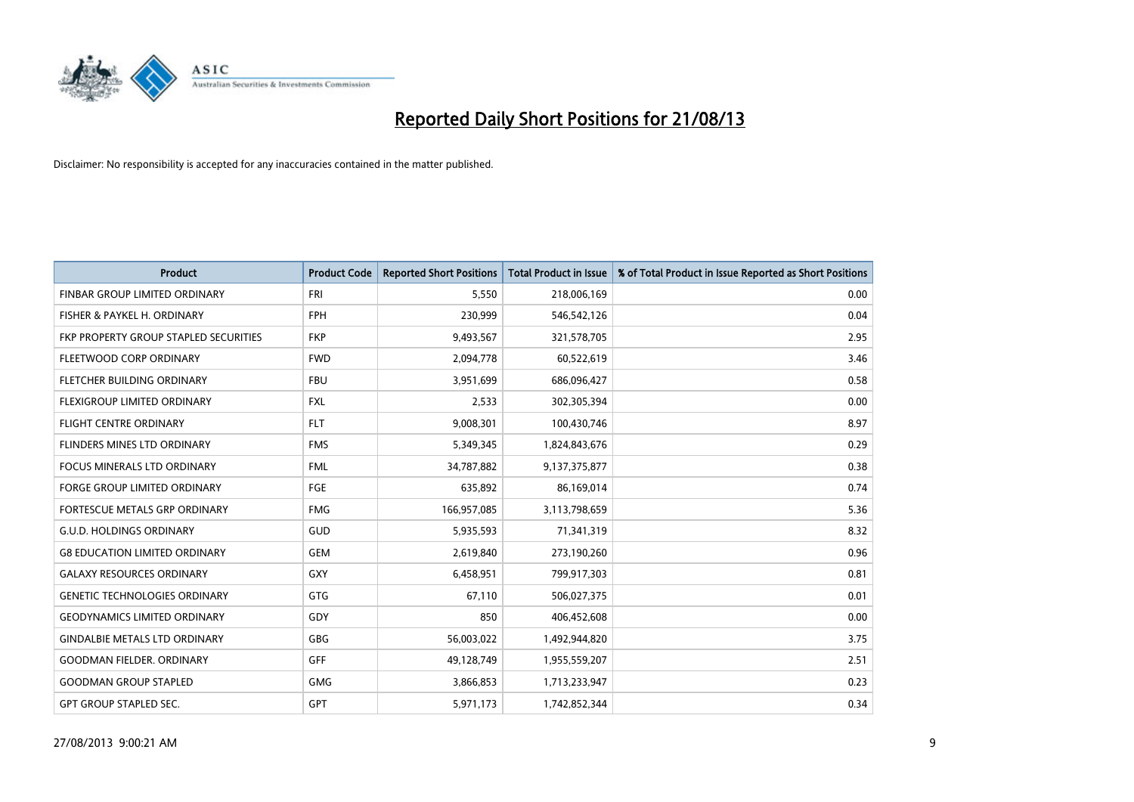

| <b>Product</b>                        | <b>Product Code</b> | <b>Reported Short Positions</b> | <b>Total Product in Issue</b> | % of Total Product in Issue Reported as Short Positions |
|---------------------------------------|---------------------|---------------------------------|-------------------------------|---------------------------------------------------------|
| FINBAR GROUP LIMITED ORDINARY         | <b>FRI</b>          | 5,550                           | 218,006,169                   | 0.00                                                    |
| FISHER & PAYKEL H. ORDINARY           | <b>FPH</b>          | 230,999                         | 546,542,126                   | 0.04                                                    |
| FKP PROPERTY GROUP STAPLED SECURITIES | <b>FKP</b>          | 9,493,567                       | 321,578,705                   | 2.95                                                    |
| FLEETWOOD CORP ORDINARY               | <b>FWD</b>          | 2,094,778                       | 60,522,619                    | 3.46                                                    |
| FLETCHER BUILDING ORDINARY            | <b>FBU</b>          | 3,951,699                       | 686,096,427                   | 0.58                                                    |
| FLEXIGROUP LIMITED ORDINARY           | <b>FXL</b>          | 2,533                           | 302,305,394                   | 0.00                                                    |
| <b>FLIGHT CENTRE ORDINARY</b>         | <b>FLT</b>          | 9,008,301                       | 100,430,746                   | 8.97                                                    |
| FLINDERS MINES LTD ORDINARY           | <b>FMS</b>          | 5,349,345                       | 1,824,843,676                 | 0.29                                                    |
| <b>FOCUS MINERALS LTD ORDINARY</b>    | <b>FML</b>          | 34,787,882                      | 9,137,375,877                 | 0.38                                                    |
| <b>FORGE GROUP LIMITED ORDINARY</b>   | FGE                 | 635,892                         | 86,169,014                    | 0.74                                                    |
| FORTESCUE METALS GRP ORDINARY         | <b>FMG</b>          | 166,957,085                     | 3,113,798,659                 | 5.36                                                    |
| <b>G.U.D. HOLDINGS ORDINARY</b>       | GUD                 | 5,935,593                       | 71,341,319                    | 8.32                                                    |
| <b>G8 EDUCATION LIMITED ORDINARY</b>  | <b>GEM</b>          | 2,619,840                       | 273,190,260                   | 0.96                                                    |
| <b>GALAXY RESOURCES ORDINARY</b>      | GXY                 | 6,458,951                       | 799,917,303                   | 0.81                                                    |
| <b>GENETIC TECHNOLOGIES ORDINARY</b>  | GTG                 | 67,110                          | 506,027,375                   | 0.01                                                    |
| <b>GEODYNAMICS LIMITED ORDINARY</b>   | GDY                 | 850                             | 406,452,608                   | 0.00                                                    |
| <b>GINDALBIE METALS LTD ORDINARY</b>  | GBG                 | 56,003,022                      | 1,492,944,820                 | 3.75                                                    |
| <b>GOODMAN FIELDER, ORDINARY</b>      | <b>GFF</b>          | 49,128,749                      | 1,955,559,207                 | 2.51                                                    |
| <b>GOODMAN GROUP STAPLED</b>          | <b>GMG</b>          | 3,866,853                       | 1,713,233,947                 | 0.23                                                    |
| <b>GPT GROUP STAPLED SEC.</b>         | <b>GPT</b>          | 5,971,173                       | 1,742,852,344                 | 0.34                                                    |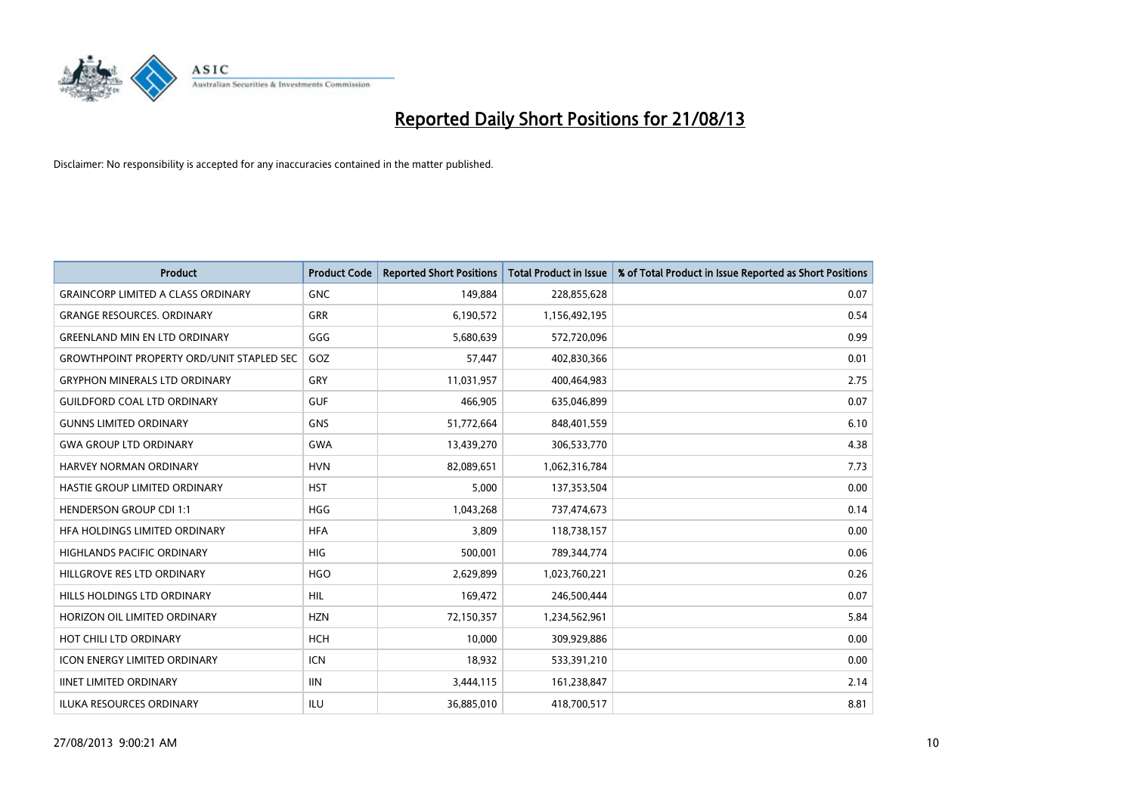

| <b>Product</b>                                   | <b>Product Code</b> | <b>Reported Short Positions</b> | <b>Total Product in Issue</b> | % of Total Product in Issue Reported as Short Positions |
|--------------------------------------------------|---------------------|---------------------------------|-------------------------------|---------------------------------------------------------|
| <b>GRAINCORP LIMITED A CLASS ORDINARY</b>        | <b>GNC</b>          | 149,884                         | 228,855,628                   | 0.07                                                    |
| <b>GRANGE RESOURCES. ORDINARY</b>                | GRR                 | 6,190,572                       | 1,156,492,195                 | 0.54                                                    |
| <b>GREENLAND MIN EN LTD ORDINARY</b>             | GGG                 | 5,680,639                       | 572,720,096                   | 0.99                                                    |
| <b>GROWTHPOINT PROPERTY ORD/UNIT STAPLED SEC</b> | GOZ                 | 57,447                          | 402,830,366                   | 0.01                                                    |
| <b>GRYPHON MINERALS LTD ORDINARY</b>             | GRY                 | 11,031,957                      | 400,464,983                   | 2.75                                                    |
| <b>GUILDFORD COAL LTD ORDINARY</b>               | <b>GUF</b>          | 466,905                         | 635,046,899                   | 0.07                                                    |
| <b>GUNNS LIMITED ORDINARY</b>                    | <b>GNS</b>          | 51,772,664                      | 848,401,559                   | 6.10                                                    |
| <b>GWA GROUP LTD ORDINARY</b>                    | <b>GWA</b>          | 13,439,270                      | 306,533,770                   | 4.38                                                    |
| HARVEY NORMAN ORDINARY                           | <b>HVN</b>          | 82,089,651                      | 1,062,316,784                 | 7.73                                                    |
| HASTIE GROUP LIMITED ORDINARY                    | <b>HST</b>          | 5,000                           | 137,353,504                   | 0.00                                                    |
| <b>HENDERSON GROUP CDI 1:1</b>                   | <b>HGG</b>          | 1,043,268                       | 737,474,673                   | 0.14                                                    |
| HFA HOLDINGS LIMITED ORDINARY                    | <b>HFA</b>          | 3.809                           | 118,738,157                   | 0.00                                                    |
| HIGHLANDS PACIFIC ORDINARY                       | <b>HIG</b>          | 500,001                         | 789,344,774                   | 0.06                                                    |
| HILLGROVE RES LTD ORDINARY                       | <b>HGO</b>          | 2,629,899                       | 1,023,760,221                 | 0.26                                                    |
| HILLS HOLDINGS LTD ORDINARY                      | <b>HIL</b>          | 169,472                         | 246,500,444                   | 0.07                                                    |
| HORIZON OIL LIMITED ORDINARY                     | <b>HZN</b>          | 72,150,357                      | 1,234,562,961                 | 5.84                                                    |
| HOT CHILI LTD ORDINARY                           | <b>HCH</b>          | 10,000                          | 309,929,886                   | 0.00                                                    |
| <b>ICON ENERGY LIMITED ORDINARY</b>              | <b>ICN</b>          | 18,932                          | 533,391,210                   | 0.00                                                    |
| <b>IINET LIMITED ORDINARY</b>                    | <b>IIN</b>          | 3,444,115                       | 161,238,847                   | 2.14                                                    |
| <b>ILUKA RESOURCES ORDINARY</b>                  | ILU                 | 36,885,010                      | 418,700,517                   | 8.81                                                    |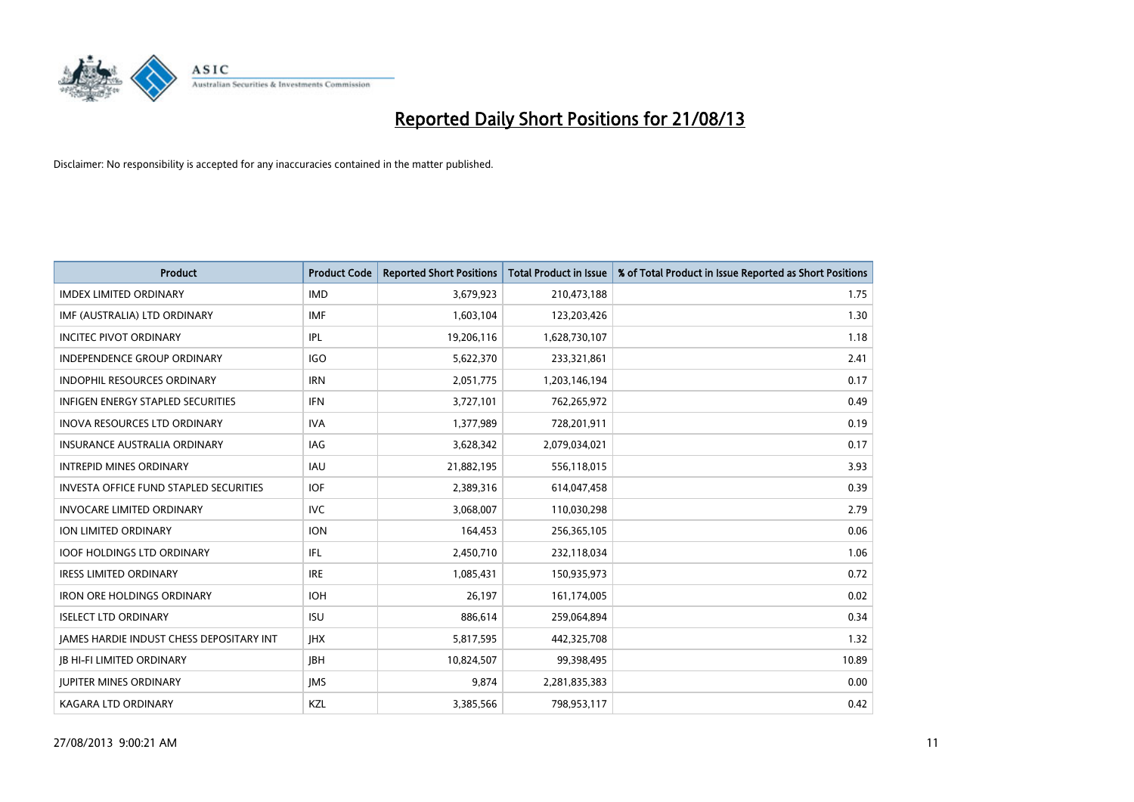

| <b>Product</b>                                | <b>Product Code</b> | <b>Reported Short Positions</b> | <b>Total Product in Issue</b> | % of Total Product in Issue Reported as Short Positions |
|-----------------------------------------------|---------------------|---------------------------------|-------------------------------|---------------------------------------------------------|
| <b>IMDEX LIMITED ORDINARY</b>                 | <b>IMD</b>          | 3,679,923                       | 210,473,188                   | 1.75                                                    |
| IMF (AUSTRALIA) LTD ORDINARY                  | <b>IMF</b>          | 1,603,104                       | 123,203,426                   | 1.30                                                    |
| <b>INCITEC PIVOT ORDINARY</b>                 | <b>IPL</b>          | 19,206,116                      | 1,628,730,107                 | 1.18                                                    |
| INDEPENDENCE GROUP ORDINARY                   | <b>IGO</b>          | 5,622,370                       | 233,321,861                   | 2.41                                                    |
| <b>INDOPHIL RESOURCES ORDINARY</b>            | <b>IRN</b>          | 2,051,775                       | 1,203,146,194                 | 0.17                                                    |
| <b>INFIGEN ENERGY STAPLED SECURITIES</b>      | <b>IFN</b>          | 3,727,101                       | 762,265,972                   | 0.49                                                    |
| <b>INOVA RESOURCES LTD ORDINARY</b>           | <b>IVA</b>          | 1,377,989                       | 728,201,911                   | 0.19                                                    |
| <b>INSURANCE AUSTRALIA ORDINARY</b>           | <b>IAG</b>          | 3,628,342                       | 2,079,034,021                 | 0.17                                                    |
| <b>INTREPID MINES ORDINARY</b>                | <b>IAU</b>          | 21,882,195                      | 556,118,015                   | 3.93                                                    |
| <b>INVESTA OFFICE FUND STAPLED SECURITIES</b> | <b>IOF</b>          | 2,389,316                       | 614,047,458                   | 0.39                                                    |
| <b>INVOCARE LIMITED ORDINARY</b>              | <b>IVC</b>          | 3,068,007                       | 110,030,298                   | 2.79                                                    |
| ION LIMITED ORDINARY                          | <b>ION</b>          | 164,453                         | 256,365,105                   | 0.06                                                    |
| <b>IOOF HOLDINGS LTD ORDINARY</b>             | IFL                 | 2,450,710                       | 232,118,034                   | 1.06                                                    |
| <b>IRESS LIMITED ORDINARY</b>                 | <b>IRE</b>          | 1,085,431                       | 150,935,973                   | 0.72                                                    |
| <b>IRON ORE HOLDINGS ORDINARY</b>             | <b>IOH</b>          | 26,197                          | 161,174,005                   | 0.02                                                    |
| <b>ISELECT LTD ORDINARY</b>                   | <b>ISU</b>          | 886,614                         | 259,064,894                   | 0.34                                                    |
| JAMES HARDIE INDUST CHESS DEPOSITARY INT      | <b>IHX</b>          | 5,817,595                       | 442,325,708                   | 1.32                                                    |
| <b>JB HI-FI LIMITED ORDINARY</b>              | <b>IBH</b>          | 10,824,507                      | 99,398,495                    | 10.89                                                   |
| <b>JUPITER MINES ORDINARY</b>                 | <b>IMS</b>          | 9,874                           | 2,281,835,383                 | 0.00                                                    |
| <b>KAGARA LTD ORDINARY</b>                    | KZL                 | 3,385,566                       | 798,953,117                   | 0.42                                                    |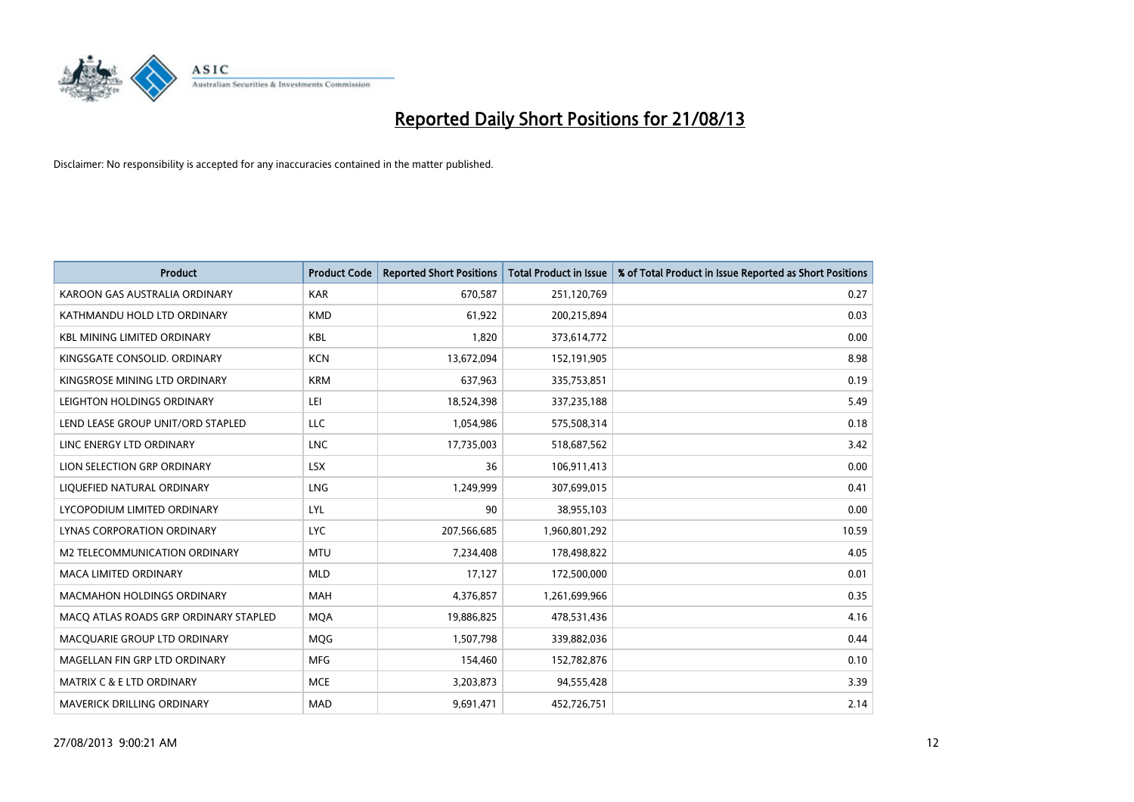

| <b>Product</b>                        | <b>Product Code</b> | <b>Reported Short Positions</b> | <b>Total Product in Issue</b> | % of Total Product in Issue Reported as Short Positions |
|---------------------------------------|---------------------|---------------------------------|-------------------------------|---------------------------------------------------------|
| KAROON GAS AUSTRALIA ORDINARY         | <b>KAR</b>          | 670,587                         | 251,120,769                   | 0.27                                                    |
| KATHMANDU HOLD LTD ORDINARY           | <b>KMD</b>          | 61,922                          | 200,215,894                   | 0.03                                                    |
| <b>KBL MINING LIMITED ORDINARY</b>    | <b>KBL</b>          | 1,820                           | 373,614,772                   | 0.00                                                    |
| KINGSGATE CONSOLID. ORDINARY          | <b>KCN</b>          | 13,672,094                      | 152,191,905                   | 8.98                                                    |
| KINGSROSE MINING LTD ORDINARY         | <b>KRM</b>          | 637,963                         | 335,753,851                   | 0.19                                                    |
| LEIGHTON HOLDINGS ORDINARY            | LEI.                | 18,524,398                      | 337,235,188                   | 5.49                                                    |
| LEND LEASE GROUP UNIT/ORD STAPLED     | LLC                 | 1,054,986                       | 575,508,314                   | 0.18                                                    |
| LINC ENERGY LTD ORDINARY              | <b>LNC</b>          | 17,735,003                      | 518,687,562                   | 3.42                                                    |
| LION SELECTION GRP ORDINARY           | <b>LSX</b>          | 36                              | 106,911,413                   | 0.00                                                    |
| LIQUEFIED NATURAL ORDINARY            | <b>LNG</b>          | 1,249,999                       | 307,699,015                   | 0.41                                                    |
| LYCOPODIUM LIMITED ORDINARY           | LYL                 | 90                              | 38,955,103                    | 0.00                                                    |
| LYNAS CORPORATION ORDINARY            | <b>LYC</b>          | 207,566,685                     | 1,960,801,292                 | 10.59                                                   |
| M2 TELECOMMUNICATION ORDINARY         | <b>MTU</b>          | 7,234,408                       | 178,498,822                   | 4.05                                                    |
| <b>MACA LIMITED ORDINARY</b>          | <b>MLD</b>          | 17,127                          | 172,500,000                   | 0.01                                                    |
| MACMAHON HOLDINGS ORDINARY            | MAH                 | 4,376,857                       | 1,261,699,966                 | 0.35                                                    |
| MACO ATLAS ROADS GRP ORDINARY STAPLED | <b>MOA</b>          | 19,886,825                      | 478,531,436                   | 4.16                                                    |
| MACQUARIE GROUP LTD ORDINARY          | <b>MQG</b>          | 1,507,798                       | 339,882,036                   | 0.44                                                    |
| MAGELLAN FIN GRP LTD ORDINARY         | <b>MFG</b>          | 154,460                         | 152,782,876                   | 0.10                                                    |
| <b>MATRIX C &amp; E LTD ORDINARY</b>  | <b>MCE</b>          | 3,203,873                       | 94,555,428                    | 3.39                                                    |
| MAVERICK DRILLING ORDINARY            | <b>MAD</b>          | 9,691,471                       | 452,726,751                   | 2.14                                                    |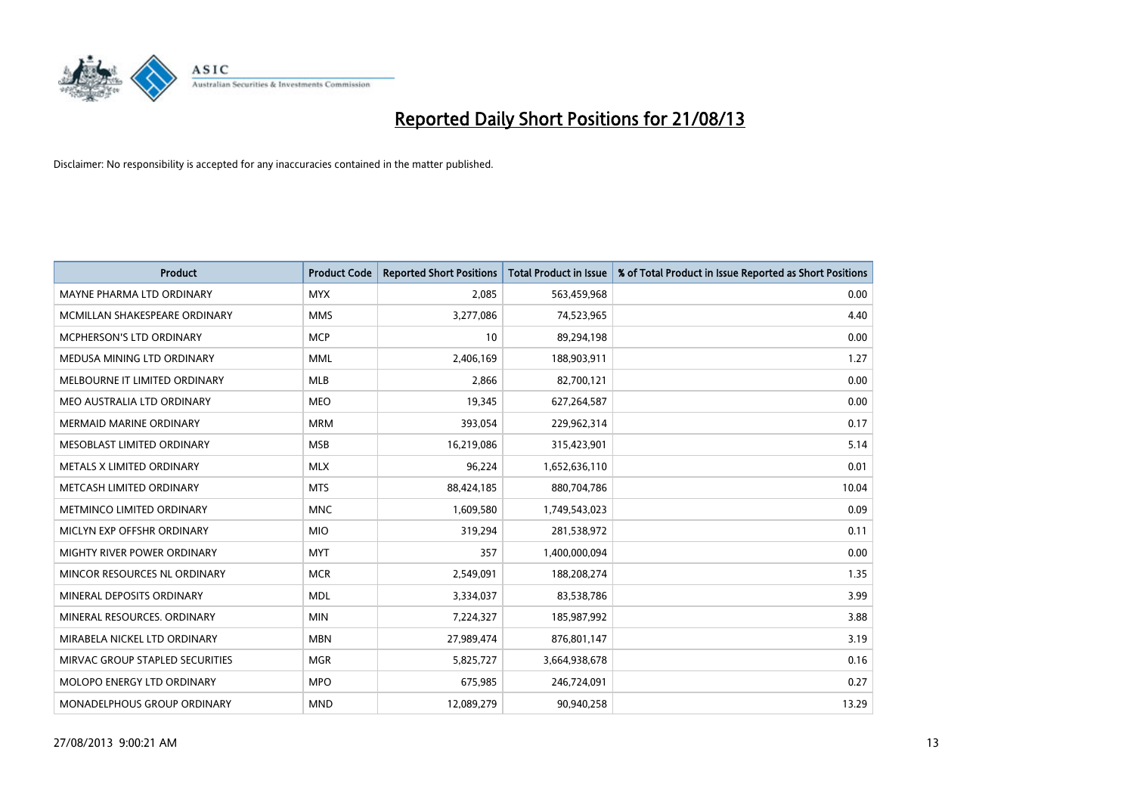

| <b>Product</b>                  | <b>Product Code</b> | <b>Reported Short Positions</b> | <b>Total Product in Issue</b> | % of Total Product in Issue Reported as Short Positions |
|---------------------------------|---------------------|---------------------------------|-------------------------------|---------------------------------------------------------|
| MAYNE PHARMA LTD ORDINARY       | <b>MYX</b>          | 2,085                           | 563,459,968                   | 0.00                                                    |
| MCMILLAN SHAKESPEARE ORDINARY   | <b>MMS</b>          | 3,277,086                       | 74,523,965                    | 4.40                                                    |
| <b>MCPHERSON'S LTD ORDINARY</b> | <b>MCP</b>          | 10                              | 89,294,198                    | 0.00                                                    |
| MEDUSA MINING LTD ORDINARY      | <b>MML</b>          | 2,406,169                       | 188,903,911                   | 1.27                                                    |
| MELBOURNE IT LIMITED ORDINARY   | <b>MLB</b>          | 2,866                           | 82,700,121                    | 0.00                                                    |
| MEO AUSTRALIA LTD ORDINARY      | <b>MEO</b>          | 19,345                          | 627,264,587                   | 0.00                                                    |
| <b>MERMAID MARINE ORDINARY</b>  | <b>MRM</b>          | 393,054                         | 229,962,314                   | 0.17                                                    |
| MESOBLAST LIMITED ORDINARY      | <b>MSB</b>          | 16,219,086                      | 315,423,901                   | 5.14                                                    |
| METALS X LIMITED ORDINARY       | <b>MLX</b>          | 96,224                          | 1,652,636,110                 | 0.01                                                    |
| METCASH LIMITED ORDINARY        | <b>MTS</b>          | 88,424,185                      | 880,704,786                   | 10.04                                                   |
| METMINCO LIMITED ORDINARY       | <b>MNC</b>          | 1,609,580                       | 1,749,543,023                 | 0.09                                                    |
| MICLYN EXP OFFSHR ORDINARY      | <b>MIO</b>          | 319,294                         | 281,538,972                   | 0.11                                                    |
| MIGHTY RIVER POWER ORDINARY     | <b>MYT</b>          | 357                             | 1,400,000,094                 | 0.00                                                    |
| MINCOR RESOURCES NL ORDINARY    | <b>MCR</b>          | 2,549,091                       | 188,208,274                   | 1.35                                                    |
| MINERAL DEPOSITS ORDINARY       | <b>MDL</b>          | 3,334,037                       | 83,538,786                    | 3.99                                                    |
| MINERAL RESOURCES. ORDINARY     | <b>MIN</b>          | 7,224,327                       | 185,987,992                   | 3.88                                                    |
| MIRABELA NICKEL LTD ORDINARY    | <b>MBN</b>          | 27,989,474                      | 876,801,147                   | 3.19                                                    |
| MIRVAC GROUP STAPLED SECURITIES | <b>MGR</b>          | 5,825,727                       | 3,664,938,678                 | 0.16                                                    |
| MOLOPO ENERGY LTD ORDINARY      | <b>MPO</b>          | 675,985                         | 246,724,091                   | 0.27                                                    |
| MONADELPHOUS GROUP ORDINARY     | <b>MND</b>          | 12,089,279                      | 90,940,258                    | 13.29                                                   |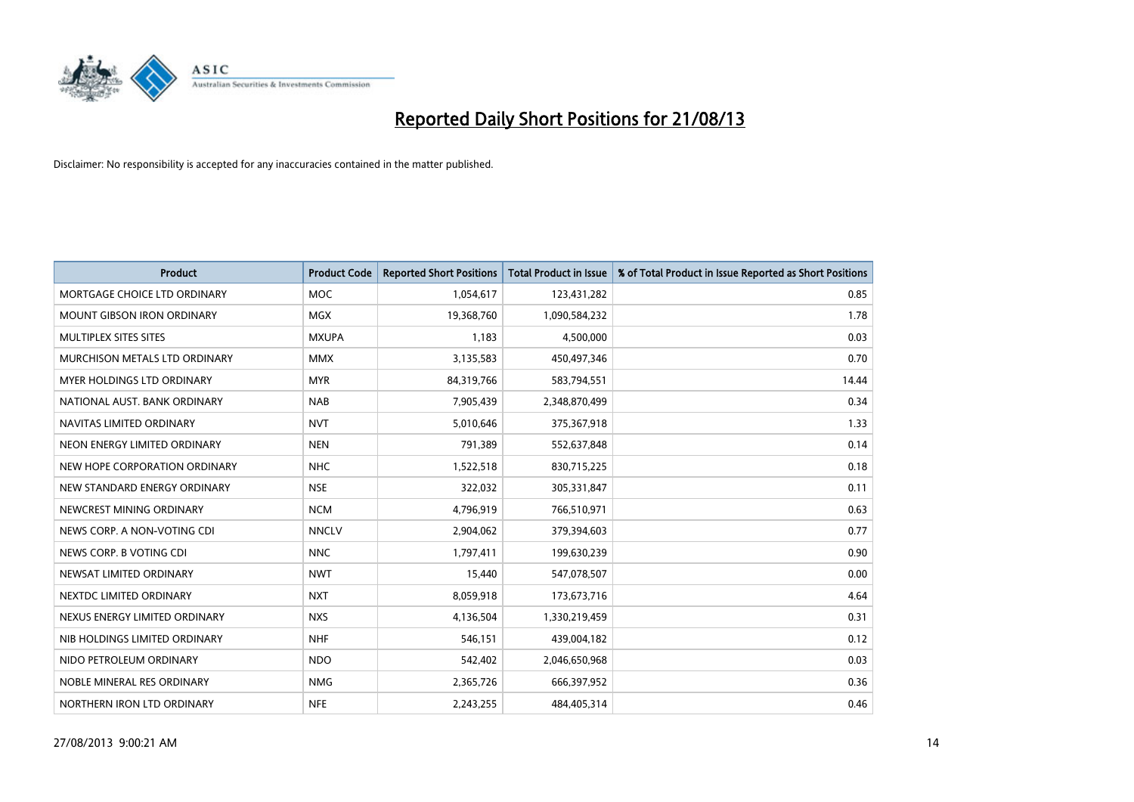

| <b>Product</b>                    | <b>Product Code</b> | <b>Reported Short Positions</b> | <b>Total Product in Issue</b> | % of Total Product in Issue Reported as Short Positions |
|-----------------------------------|---------------------|---------------------------------|-------------------------------|---------------------------------------------------------|
| MORTGAGE CHOICE LTD ORDINARY      | <b>MOC</b>          | 1,054,617                       | 123,431,282                   | 0.85                                                    |
| <b>MOUNT GIBSON IRON ORDINARY</b> | <b>MGX</b>          | 19,368,760                      | 1,090,584,232                 | 1.78                                                    |
| MULTIPLEX SITES SITES             | <b>MXUPA</b>        | 1,183                           | 4,500,000                     | 0.03                                                    |
| MURCHISON METALS LTD ORDINARY     | <b>MMX</b>          | 3,135,583                       | 450,497,346                   | 0.70                                                    |
| <b>MYER HOLDINGS LTD ORDINARY</b> | <b>MYR</b>          | 84,319,766                      | 583,794,551                   | 14.44                                                   |
| NATIONAL AUST. BANK ORDINARY      | <b>NAB</b>          | 7,905,439                       | 2,348,870,499                 | 0.34                                                    |
| NAVITAS LIMITED ORDINARY          | <b>NVT</b>          | 5,010,646                       | 375,367,918                   | 1.33                                                    |
| NEON ENERGY LIMITED ORDINARY      | <b>NEN</b>          | 791,389                         | 552,637,848                   | 0.14                                                    |
| NEW HOPE CORPORATION ORDINARY     | <b>NHC</b>          | 1,522,518                       | 830,715,225                   | 0.18                                                    |
| NEW STANDARD ENERGY ORDINARY      | <b>NSE</b>          | 322,032                         | 305,331,847                   | 0.11                                                    |
| NEWCREST MINING ORDINARY          | <b>NCM</b>          | 4,796,919                       | 766,510,971                   | 0.63                                                    |
| NEWS CORP. A NON-VOTING CDI       | <b>NNCLV</b>        | 2,904,062                       | 379,394,603                   | 0.77                                                    |
| NEWS CORP. B VOTING CDI           | <b>NNC</b>          | 1,797,411                       | 199,630,239                   | 0.90                                                    |
| NEWSAT LIMITED ORDINARY           | <b>NWT</b>          | 15,440                          | 547,078,507                   | 0.00                                                    |
| NEXTDC LIMITED ORDINARY           | <b>NXT</b>          | 8,059,918                       | 173,673,716                   | 4.64                                                    |
| NEXUS ENERGY LIMITED ORDINARY     | <b>NXS</b>          | 4,136,504                       | 1,330,219,459                 | 0.31                                                    |
| NIB HOLDINGS LIMITED ORDINARY     | <b>NHF</b>          | 546,151                         | 439,004,182                   | 0.12                                                    |
| NIDO PETROLEUM ORDINARY           | <b>NDO</b>          | 542,402                         | 2,046,650,968                 | 0.03                                                    |
| NOBLE MINERAL RES ORDINARY        | <b>NMG</b>          | 2,365,726                       | 666,397,952                   | 0.36                                                    |
| NORTHERN IRON LTD ORDINARY        | <b>NFE</b>          | 2,243,255                       | 484,405,314                   | 0.46                                                    |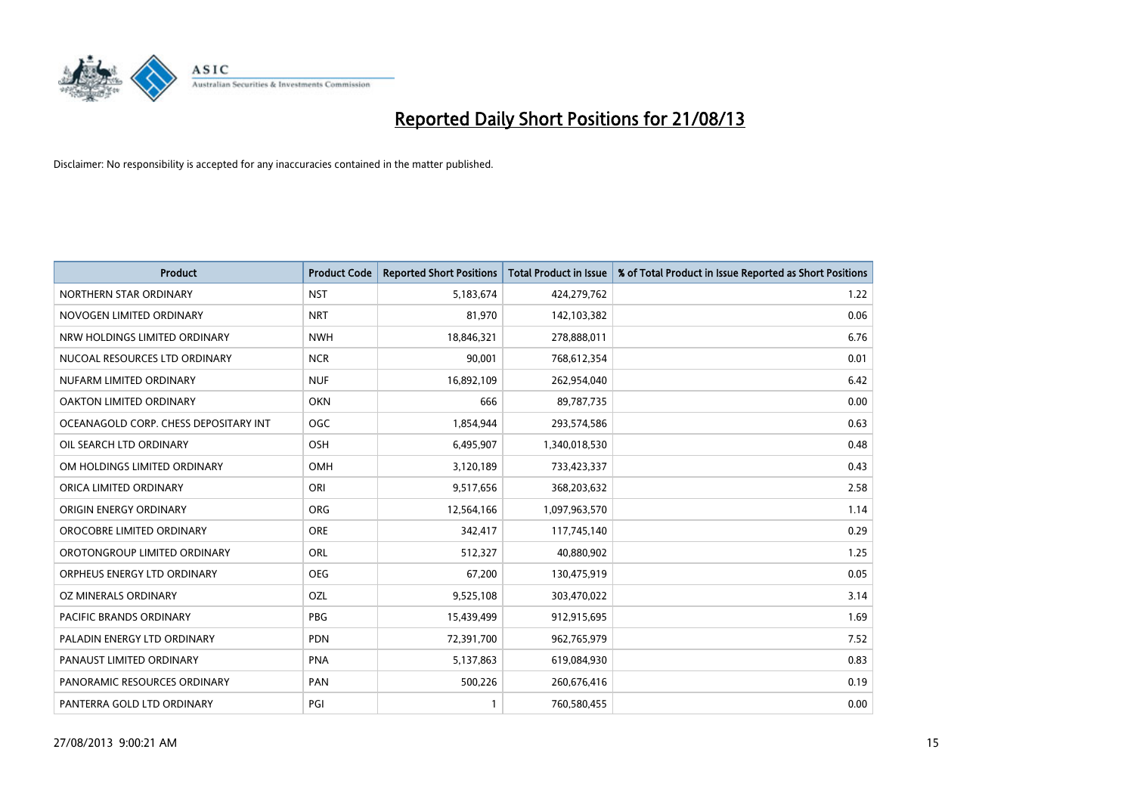

| <b>Product</b>                        | <b>Product Code</b> | <b>Reported Short Positions</b> | <b>Total Product in Issue</b> | % of Total Product in Issue Reported as Short Positions |
|---------------------------------------|---------------------|---------------------------------|-------------------------------|---------------------------------------------------------|
| NORTHERN STAR ORDINARY                | <b>NST</b>          | 5,183,674                       | 424,279,762                   | 1.22                                                    |
| NOVOGEN LIMITED ORDINARY              | <b>NRT</b>          | 81,970                          | 142,103,382                   | 0.06                                                    |
| NRW HOLDINGS LIMITED ORDINARY         | <b>NWH</b>          | 18,846,321                      | 278,888,011                   | 6.76                                                    |
| NUCOAL RESOURCES LTD ORDINARY         | <b>NCR</b>          | 90,001                          | 768,612,354                   | 0.01                                                    |
| NUFARM LIMITED ORDINARY               | <b>NUF</b>          | 16,892,109                      | 262,954,040                   | 6.42                                                    |
| OAKTON LIMITED ORDINARY               | <b>OKN</b>          | 666                             | 89,787,735                    | 0.00                                                    |
| OCEANAGOLD CORP. CHESS DEPOSITARY INT | <b>OGC</b>          | 1,854,944                       | 293,574,586                   | 0.63                                                    |
| OIL SEARCH LTD ORDINARY               | OSH                 | 6,495,907                       | 1,340,018,530                 | 0.48                                                    |
| OM HOLDINGS LIMITED ORDINARY          | OMH                 | 3,120,189                       | 733,423,337                   | 0.43                                                    |
| ORICA LIMITED ORDINARY                | ORI                 | 9,517,656                       | 368,203,632                   | 2.58                                                    |
| ORIGIN ENERGY ORDINARY                | <b>ORG</b>          | 12,564,166                      | 1,097,963,570                 | 1.14                                                    |
| OROCOBRE LIMITED ORDINARY             | <b>ORE</b>          | 342,417                         | 117,745,140                   | 0.29                                                    |
| OROTONGROUP LIMITED ORDINARY          | ORL                 | 512,327                         | 40,880,902                    | 1.25                                                    |
| ORPHEUS ENERGY LTD ORDINARY           | <b>OEG</b>          | 67,200                          | 130,475,919                   | 0.05                                                    |
| OZ MINERALS ORDINARY                  | <b>OZL</b>          | 9,525,108                       | 303,470,022                   | 3.14                                                    |
| PACIFIC BRANDS ORDINARY               | <b>PBG</b>          | 15,439,499                      | 912,915,695                   | 1.69                                                    |
| PALADIN ENERGY LTD ORDINARY           | <b>PDN</b>          | 72,391,700                      | 962,765,979                   | 7.52                                                    |
| PANAUST LIMITED ORDINARY              | <b>PNA</b>          | 5,137,863                       | 619,084,930                   | 0.83                                                    |
| PANORAMIC RESOURCES ORDINARY          | PAN                 | 500,226                         | 260,676,416                   | 0.19                                                    |
| PANTERRA GOLD LTD ORDINARY            | PGI                 |                                 | 760,580,455                   | 0.00                                                    |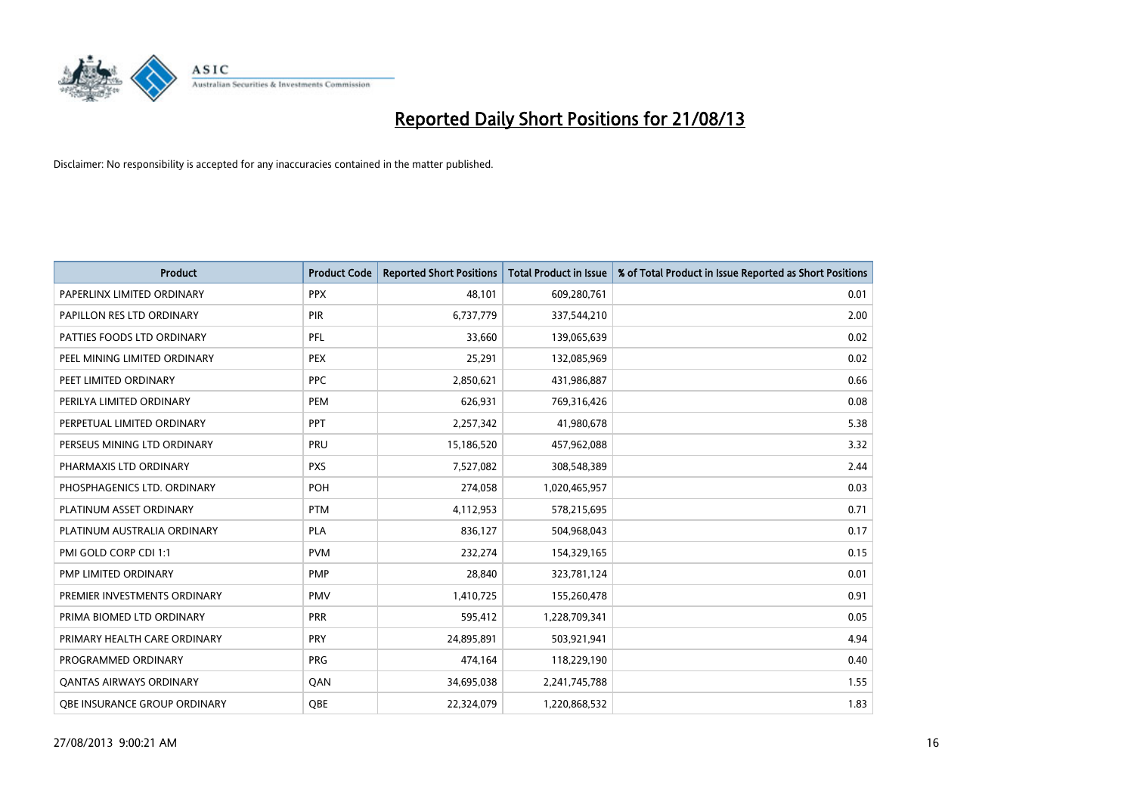

| Product                        | <b>Product Code</b> | <b>Reported Short Positions</b> | <b>Total Product in Issue</b> | % of Total Product in Issue Reported as Short Positions |
|--------------------------------|---------------------|---------------------------------|-------------------------------|---------------------------------------------------------|
| PAPERLINX LIMITED ORDINARY     | <b>PPX</b>          | 48,101                          | 609,280,761                   | 0.01                                                    |
| PAPILLON RES LTD ORDINARY      | <b>PIR</b>          | 6,737,779                       | 337,544,210                   | 2.00                                                    |
| PATTIES FOODS LTD ORDINARY     | PFL                 | 33,660                          | 139,065,639                   | 0.02                                                    |
| PEEL MINING LIMITED ORDINARY   | <b>PEX</b>          | 25,291                          | 132,085,969                   | 0.02                                                    |
| PEET LIMITED ORDINARY          | <b>PPC</b>          | 2,850,621                       | 431,986,887                   | 0.66                                                    |
| PERILYA LIMITED ORDINARY       | PEM                 | 626,931                         | 769,316,426                   | 0.08                                                    |
| PERPETUAL LIMITED ORDINARY     | <b>PPT</b>          | 2,257,342                       | 41,980,678                    | 5.38                                                    |
| PERSEUS MINING LTD ORDINARY    | <b>PRU</b>          | 15,186,520                      | 457,962,088                   | 3.32                                                    |
| PHARMAXIS LTD ORDINARY         | <b>PXS</b>          | 7,527,082                       | 308,548,389                   | 2.44                                                    |
| PHOSPHAGENICS LTD. ORDINARY    | POH                 | 274,058                         | 1,020,465,957                 | 0.03                                                    |
| PLATINUM ASSET ORDINARY        | <b>PTM</b>          | 4,112,953                       | 578,215,695                   | 0.71                                                    |
| PLATINUM AUSTRALIA ORDINARY    | <b>PLA</b>          | 836,127                         | 504,968,043                   | 0.17                                                    |
| PMI GOLD CORP CDI 1:1          | <b>PVM</b>          | 232,274                         | 154,329,165                   | 0.15                                                    |
| PMP LIMITED ORDINARY           | <b>PMP</b>          | 28,840                          | 323,781,124                   | 0.01                                                    |
| PREMIER INVESTMENTS ORDINARY   | <b>PMV</b>          | 1,410,725                       | 155,260,478                   | 0.91                                                    |
| PRIMA BIOMED LTD ORDINARY      | <b>PRR</b>          | 595,412                         | 1,228,709,341                 | 0.05                                                    |
| PRIMARY HEALTH CARE ORDINARY   | <b>PRY</b>          | 24,895,891                      | 503,921,941                   | 4.94                                                    |
| PROGRAMMED ORDINARY            | <b>PRG</b>          | 474,164                         | 118,229,190                   | 0.40                                                    |
| <b>QANTAS AIRWAYS ORDINARY</b> | QAN                 | 34,695,038                      | 2,241,745,788                 | 1.55                                                    |
| OBE INSURANCE GROUP ORDINARY   | <b>QBE</b>          | 22,324,079                      | 1,220,868,532                 | 1.83                                                    |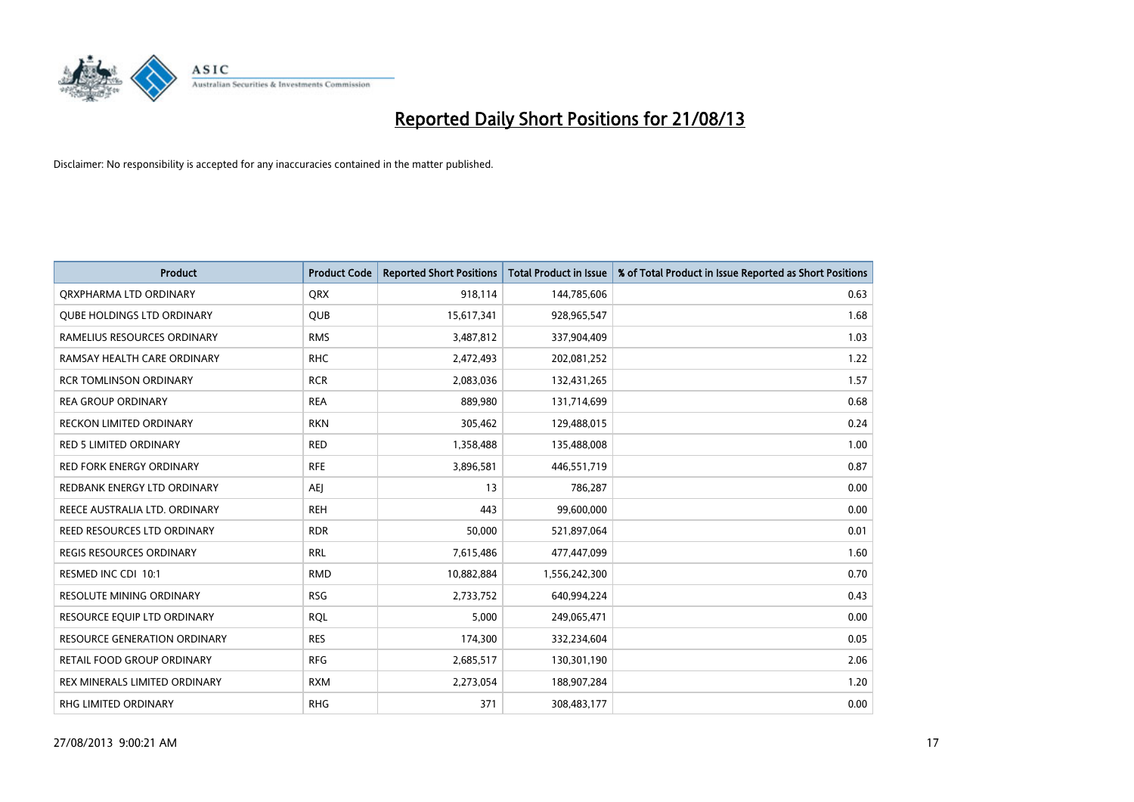

| <b>Product</b>                      | <b>Product Code</b> | <b>Reported Short Positions</b> | <b>Total Product in Issue</b> | % of Total Product in Issue Reported as Short Positions |
|-------------------------------------|---------------------|---------------------------------|-------------------------------|---------------------------------------------------------|
| ORXPHARMA LTD ORDINARY              | <b>QRX</b>          | 918,114                         | 144,785,606                   | 0.63                                                    |
| <b>QUBE HOLDINGS LTD ORDINARY</b>   | <b>QUB</b>          | 15,617,341                      | 928,965,547                   | 1.68                                                    |
| RAMELIUS RESOURCES ORDINARY         | <b>RMS</b>          | 3,487,812                       | 337,904,409                   | 1.03                                                    |
| RAMSAY HEALTH CARE ORDINARY         | <b>RHC</b>          | 2,472,493                       | 202,081,252                   | 1.22                                                    |
| <b>RCR TOMLINSON ORDINARY</b>       | <b>RCR</b>          | 2,083,036                       | 132,431,265                   | 1.57                                                    |
| <b>REA GROUP ORDINARY</b>           | <b>REA</b>          | 889,980                         | 131,714,699                   | 0.68                                                    |
| <b>RECKON LIMITED ORDINARY</b>      | <b>RKN</b>          | 305,462                         | 129,488,015                   | 0.24                                                    |
| RED 5 LIMITED ORDINARY              | <b>RED</b>          | 1,358,488                       | 135,488,008                   | 1.00                                                    |
| <b>RED FORK ENERGY ORDINARY</b>     | <b>RFE</b>          | 3,896,581                       | 446,551,719                   | 0.87                                                    |
| REDBANK ENERGY LTD ORDINARY         | AEJ                 | 13                              | 786,287                       | 0.00                                                    |
| REECE AUSTRALIA LTD. ORDINARY       | <b>REH</b>          | 443                             | 99,600,000                    | 0.00                                                    |
| REED RESOURCES LTD ORDINARY         | <b>RDR</b>          | 50,000                          | 521,897,064                   | 0.01                                                    |
| REGIS RESOURCES ORDINARY            | <b>RRL</b>          | 7,615,486                       | 477,447,099                   | 1.60                                                    |
| RESMED INC CDI 10:1                 | <b>RMD</b>          | 10,882,884                      | 1,556,242,300                 | 0.70                                                    |
| RESOLUTE MINING ORDINARY            | <b>RSG</b>          | 2,733,752                       | 640,994,224                   | 0.43                                                    |
| RESOURCE EQUIP LTD ORDINARY         | <b>RQL</b>          | 5,000                           | 249,065,471                   | 0.00                                                    |
| <b>RESOURCE GENERATION ORDINARY</b> | <b>RES</b>          | 174,300                         | 332,234,604                   | 0.05                                                    |
| RETAIL FOOD GROUP ORDINARY          | <b>RFG</b>          | 2,685,517                       | 130,301,190                   | 2.06                                                    |
| REX MINERALS LIMITED ORDINARY       | <b>RXM</b>          | 2,273,054                       | 188,907,284                   | 1.20                                                    |
| RHG LIMITED ORDINARY                | <b>RHG</b>          | 371                             | 308,483,177                   | 0.00                                                    |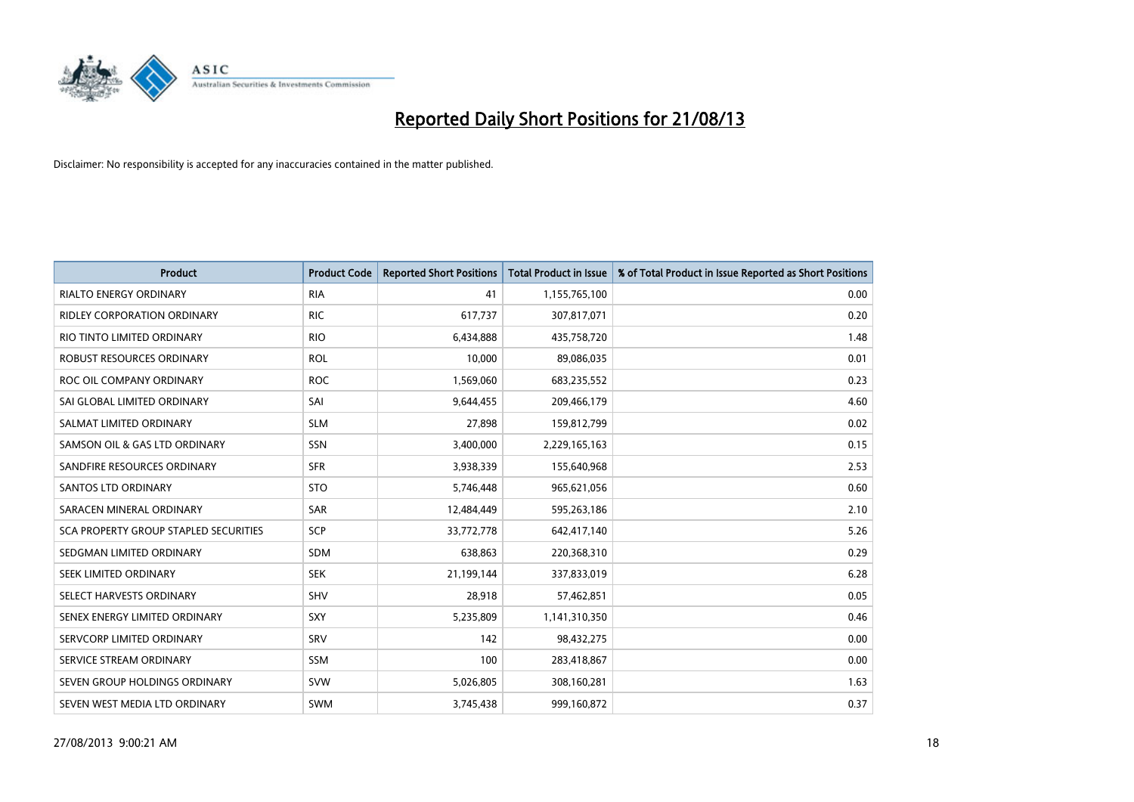

| <b>Product</b>                               | <b>Product Code</b> | <b>Reported Short Positions</b> | <b>Total Product in Issue</b> | % of Total Product in Issue Reported as Short Positions |
|----------------------------------------------|---------------------|---------------------------------|-------------------------------|---------------------------------------------------------|
| <b>RIALTO ENERGY ORDINARY</b>                | <b>RIA</b>          | 41                              | 1,155,765,100                 | 0.00                                                    |
| <b>RIDLEY CORPORATION ORDINARY</b>           | <b>RIC</b>          | 617,737                         | 307,817,071                   | 0.20                                                    |
| RIO TINTO LIMITED ORDINARY                   | <b>RIO</b>          | 6,434,888                       | 435,758,720                   | 1.48                                                    |
| ROBUST RESOURCES ORDINARY                    | <b>ROL</b>          | 10,000                          | 89,086,035                    | 0.01                                                    |
| ROC OIL COMPANY ORDINARY                     | <b>ROC</b>          | 1,569,060                       | 683,235,552                   | 0.23                                                    |
| SAI GLOBAL LIMITED ORDINARY                  | SAI                 | 9,644,455                       | 209,466,179                   | 4.60                                                    |
| SALMAT LIMITED ORDINARY                      | <b>SLM</b>          | 27,898                          | 159,812,799                   | 0.02                                                    |
| SAMSON OIL & GAS LTD ORDINARY                | SSN                 | 3,400,000                       | 2,229,165,163                 | 0.15                                                    |
| SANDFIRE RESOURCES ORDINARY                  | <b>SFR</b>          | 3,938,339                       | 155,640,968                   | 2.53                                                    |
| SANTOS LTD ORDINARY                          | <b>STO</b>          | 5,746,448                       | 965,621,056                   | 0.60                                                    |
| SARACEN MINERAL ORDINARY                     | SAR                 | 12,484,449                      | 595,263,186                   | 2.10                                                    |
| <b>SCA PROPERTY GROUP STAPLED SECURITIES</b> | <b>SCP</b>          | 33,772,778                      | 642,417,140                   | 5.26                                                    |
| SEDGMAN LIMITED ORDINARY                     | <b>SDM</b>          | 638,863                         | 220,368,310                   | 0.29                                                    |
| SEEK LIMITED ORDINARY                        | <b>SEK</b>          | 21,199,144                      | 337,833,019                   | 6.28                                                    |
| SELECT HARVESTS ORDINARY                     | <b>SHV</b>          | 28,918                          | 57,462,851                    | 0.05                                                    |
| SENEX ENERGY LIMITED ORDINARY                | <b>SXY</b>          | 5,235,809                       | 1,141,310,350                 | 0.46                                                    |
| SERVCORP LIMITED ORDINARY                    | SRV                 | 142                             | 98,432,275                    | 0.00                                                    |
| SERVICE STREAM ORDINARY                      | SSM                 | 100                             | 283,418,867                   | 0.00                                                    |
| SEVEN GROUP HOLDINGS ORDINARY                | <b>SVW</b>          | 5,026,805                       | 308,160,281                   | 1.63                                                    |
| SEVEN WEST MEDIA LTD ORDINARY                | <b>SWM</b>          | 3,745,438                       | 999,160,872                   | 0.37                                                    |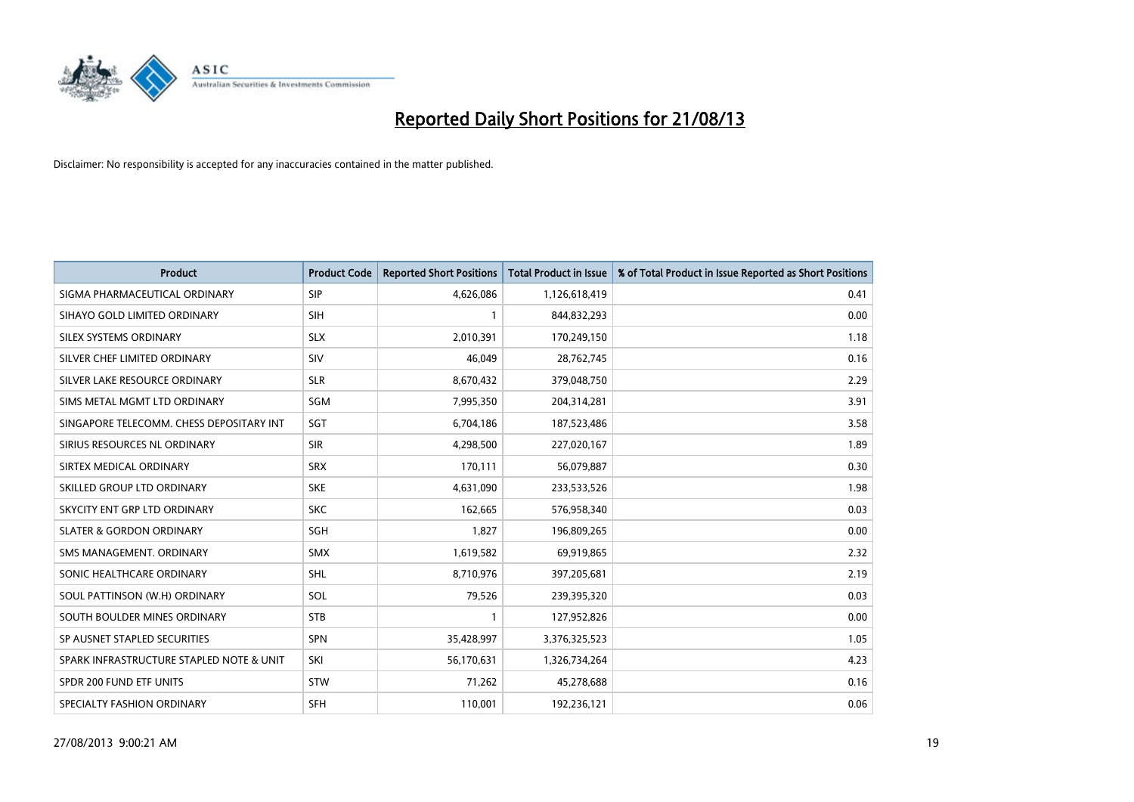

| <b>Product</b>                           | <b>Product Code</b> | <b>Reported Short Positions</b> | <b>Total Product in Issue</b> | % of Total Product in Issue Reported as Short Positions |
|------------------------------------------|---------------------|---------------------------------|-------------------------------|---------------------------------------------------------|
| SIGMA PHARMACEUTICAL ORDINARY            | <b>SIP</b>          | 4,626,086                       | 1,126,618,419                 | 0.41                                                    |
| SIHAYO GOLD LIMITED ORDINARY             | <b>SIH</b>          |                                 | 844,832,293                   | 0.00                                                    |
| <b>SILEX SYSTEMS ORDINARY</b>            | <b>SLX</b>          | 2,010,391                       | 170,249,150                   | 1.18                                                    |
| SILVER CHEF LIMITED ORDINARY             | SIV                 | 46.049                          | 28,762,745                    | 0.16                                                    |
| SILVER LAKE RESOURCE ORDINARY            | <b>SLR</b>          | 8,670,432                       | 379,048,750                   | 2.29                                                    |
| SIMS METAL MGMT LTD ORDINARY             | SGM                 | 7,995,350                       | 204,314,281                   | 3.91                                                    |
| SINGAPORE TELECOMM. CHESS DEPOSITARY INT | SGT                 | 6,704,186                       | 187,523,486                   | 3.58                                                    |
| SIRIUS RESOURCES NL ORDINARY             | <b>SIR</b>          | 4,298,500                       | 227,020,167                   | 1.89                                                    |
| SIRTEX MEDICAL ORDINARY                  | <b>SRX</b>          | 170,111                         | 56,079,887                    | 0.30                                                    |
| SKILLED GROUP LTD ORDINARY               | <b>SKE</b>          | 4,631,090                       | 233,533,526                   | 1.98                                                    |
| SKYCITY ENT GRP LTD ORDINARY             | <b>SKC</b>          | 162,665                         | 576,958,340                   | 0.03                                                    |
| <b>SLATER &amp; GORDON ORDINARY</b>      | <b>SGH</b>          | 1,827                           | 196,809,265                   | 0.00                                                    |
| SMS MANAGEMENT. ORDINARY                 | SMX                 | 1,619,582                       | 69,919,865                    | 2.32                                                    |
| SONIC HEALTHCARE ORDINARY                | SHL                 | 8,710,976                       | 397,205,681                   | 2.19                                                    |
| SOUL PATTINSON (W.H) ORDINARY            | SOL                 | 79,526                          | 239,395,320                   | 0.03                                                    |
| SOUTH BOULDER MINES ORDINARY             | <b>STB</b>          | $\mathbf{1}$                    | 127,952,826                   | 0.00                                                    |
| SP AUSNET STAPLED SECURITIES             | SPN                 | 35,428,997                      | 3,376,325,523                 | 1.05                                                    |
| SPARK INFRASTRUCTURE STAPLED NOTE & UNIT | SKI                 | 56,170,631                      | 1,326,734,264                 | 4.23                                                    |
| SPDR 200 FUND ETF UNITS                  | STW                 | 71,262                          | 45,278,688                    | 0.16                                                    |
| SPECIALTY FASHION ORDINARY               | <b>SFH</b>          | 110,001                         | 192,236,121                   | 0.06                                                    |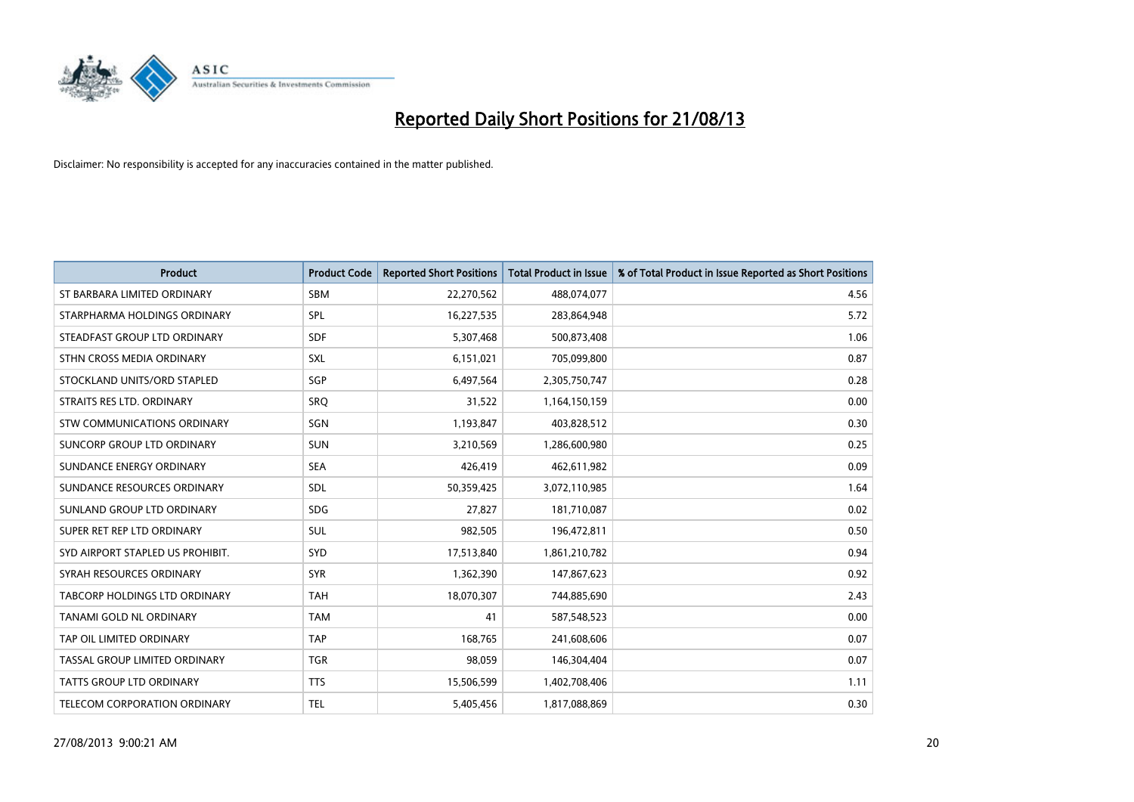

| <b>Product</b>                      | <b>Product Code</b> | <b>Reported Short Positions</b> | <b>Total Product in Issue</b> | % of Total Product in Issue Reported as Short Positions |
|-------------------------------------|---------------------|---------------------------------|-------------------------------|---------------------------------------------------------|
| ST BARBARA LIMITED ORDINARY         | <b>SBM</b>          | 22,270,562                      | 488,074,077                   | 4.56                                                    |
| STARPHARMA HOLDINGS ORDINARY        | <b>SPL</b>          | 16,227,535                      | 283,864,948                   | 5.72                                                    |
| STEADFAST GROUP LTD ORDINARY        | <b>SDF</b>          | 5,307,468                       | 500,873,408                   | 1.06                                                    |
| STHN CROSS MEDIA ORDINARY           | <b>SXL</b>          | 6,151,021                       | 705,099,800                   | 0.87                                                    |
| STOCKLAND UNITS/ORD STAPLED         | SGP                 | 6,497,564                       | 2,305,750,747                 | 0.28                                                    |
| STRAITS RES LTD. ORDINARY           | SRQ                 | 31,522                          | 1,164,150,159                 | 0.00                                                    |
| <b>STW COMMUNICATIONS ORDINARY</b>  | SGN                 | 1,193,847                       | 403,828,512                   | 0.30                                                    |
| SUNCORP GROUP LTD ORDINARY          | <b>SUN</b>          | 3,210,569                       | 1,286,600,980                 | 0.25                                                    |
| SUNDANCE ENERGY ORDINARY            | <b>SEA</b>          | 426,419                         | 462,611,982                   | 0.09                                                    |
| SUNDANCE RESOURCES ORDINARY         | <b>SDL</b>          | 50,359,425                      | 3,072,110,985                 | 1.64                                                    |
| SUNLAND GROUP LTD ORDINARY          | <b>SDG</b>          | 27,827                          | 181,710,087                   | 0.02                                                    |
| SUPER RET REP LTD ORDINARY          | SUL                 | 982,505                         | 196,472,811                   | 0.50                                                    |
| SYD AIRPORT STAPLED US PROHIBIT.    | <b>SYD</b>          | 17,513,840                      | 1,861,210,782                 | 0.94                                                    |
| SYRAH RESOURCES ORDINARY            | <b>SYR</b>          | 1,362,390                       | 147,867,623                   | 0.92                                                    |
| TABCORP HOLDINGS LTD ORDINARY       | <b>TAH</b>          | 18,070,307                      | 744,885,690                   | 2.43                                                    |
| TANAMI GOLD NL ORDINARY             | <b>TAM</b>          | 41                              | 587,548,523                   | 0.00                                                    |
| TAP OIL LIMITED ORDINARY            | <b>TAP</b>          | 168,765                         | 241,608,606                   | 0.07                                                    |
| TASSAL GROUP LIMITED ORDINARY       | <b>TGR</b>          | 98,059                          | 146,304,404                   | 0.07                                                    |
| <b>TATTS GROUP LTD ORDINARY</b>     | <b>TTS</b>          | 15,506,599                      | 1,402,708,406                 | 1.11                                                    |
| <b>TELECOM CORPORATION ORDINARY</b> | <b>TEL</b>          | 5,405,456                       | 1,817,088,869                 | 0.30                                                    |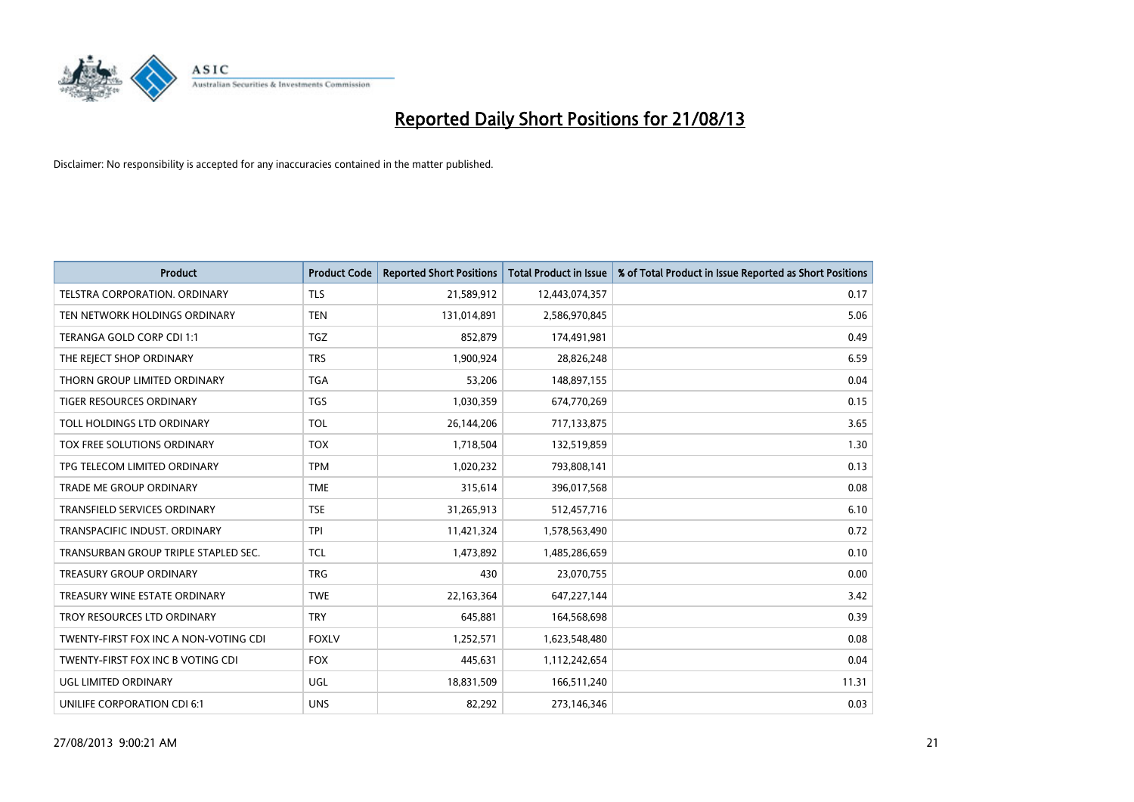

| <b>Product</b>                        | <b>Product Code</b> | <b>Reported Short Positions</b> | <b>Total Product in Issue</b> | % of Total Product in Issue Reported as Short Positions |
|---------------------------------------|---------------------|---------------------------------|-------------------------------|---------------------------------------------------------|
| <b>TELSTRA CORPORATION, ORDINARY</b>  | <b>TLS</b>          | 21,589,912                      | 12,443,074,357                | 0.17                                                    |
| TEN NETWORK HOLDINGS ORDINARY         | <b>TEN</b>          | 131,014,891                     | 2,586,970,845                 | 5.06                                                    |
| TERANGA GOLD CORP CDI 1:1             | <b>TGZ</b>          | 852,879                         | 174,491,981                   | 0.49                                                    |
| THE REJECT SHOP ORDINARY              | <b>TRS</b>          | 1,900,924                       | 28,826,248                    | 6.59                                                    |
| THORN GROUP LIMITED ORDINARY          | <b>TGA</b>          | 53,206                          | 148,897,155                   | 0.04                                                    |
| <b>TIGER RESOURCES ORDINARY</b>       | <b>TGS</b>          | 1,030,359                       | 674,770,269                   | 0.15                                                    |
| TOLL HOLDINGS LTD ORDINARY            | <b>TOL</b>          | 26,144,206                      | 717,133,875                   | 3.65                                                    |
| TOX FREE SOLUTIONS ORDINARY           | <b>TOX</b>          | 1,718,504                       | 132,519,859                   | 1.30                                                    |
| TPG TELECOM LIMITED ORDINARY          | <b>TPM</b>          | 1,020,232                       | 793,808,141                   | 0.13                                                    |
| <b>TRADE ME GROUP ORDINARY</b>        | <b>TME</b>          | 315,614                         | 396,017,568                   | 0.08                                                    |
| TRANSFIELD SERVICES ORDINARY          | <b>TSE</b>          | 31,265,913                      | 512,457,716                   | 6.10                                                    |
| TRANSPACIFIC INDUST, ORDINARY         | <b>TPI</b>          | 11,421,324                      | 1,578,563,490                 | 0.72                                                    |
| TRANSURBAN GROUP TRIPLE STAPLED SEC.  | TCL                 | 1,473,892                       | 1,485,286,659                 | 0.10                                                    |
| <b>TREASURY GROUP ORDINARY</b>        | <b>TRG</b>          | 430                             | 23,070,755                    | 0.00                                                    |
| TREASURY WINE ESTATE ORDINARY         | <b>TWE</b>          | 22,163,364                      | 647,227,144                   | 3.42                                                    |
| TROY RESOURCES LTD ORDINARY           | <b>TRY</b>          | 645,881                         | 164,568,698                   | 0.39                                                    |
| TWENTY-FIRST FOX INC A NON-VOTING CDI | <b>FOXLV</b>        | 1,252,571                       | 1,623,548,480                 | 0.08                                                    |
| TWENTY-FIRST FOX INC B VOTING CDI     | <b>FOX</b>          | 445,631                         | 1,112,242,654                 | 0.04                                                    |
| UGL LIMITED ORDINARY                  | UGL                 | 18,831,509                      | 166,511,240                   | 11.31                                                   |
| UNILIFE CORPORATION CDI 6:1           | <b>UNS</b>          | 82,292                          | 273,146,346                   | 0.03                                                    |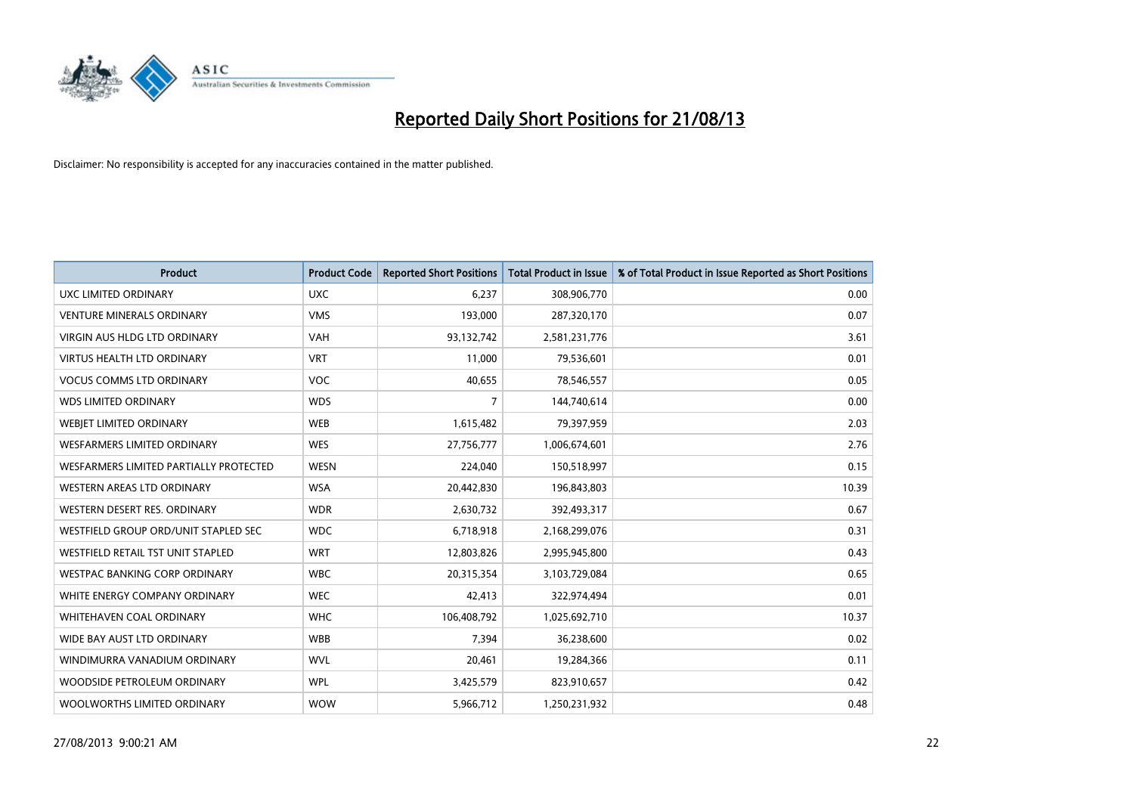

| <b>Product</b>                         | <b>Product Code</b> | <b>Reported Short Positions</b> | <b>Total Product in Issue</b> | % of Total Product in Issue Reported as Short Positions |
|----------------------------------------|---------------------|---------------------------------|-------------------------------|---------------------------------------------------------|
| <b>UXC LIMITED ORDINARY</b>            | <b>UXC</b>          | 6,237                           | 308,906,770                   | 0.00                                                    |
| <b>VENTURE MINERALS ORDINARY</b>       | <b>VMS</b>          | 193,000                         | 287,320,170                   | 0.07                                                    |
| <b>VIRGIN AUS HLDG LTD ORDINARY</b>    | <b>VAH</b>          | 93,132,742                      | 2,581,231,776                 | 3.61                                                    |
| VIRTUS HEALTH LTD ORDINARY             | <b>VRT</b>          | 11,000                          | 79,536,601                    | 0.01                                                    |
| <b>VOCUS COMMS LTD ORDINARY</b>        | <b>VOC</b>          | 40,655                          | 78,546,557                    | 0.05                                                    |
| <b>WDS LIMITED ORDINARY</b>            | <b>WDS</b>          | 7                               | 144,740,614                   | 0.00                                                    |
| <b>WEBIET LIMITED ORDINARY</b>         | <b>WEB</b>          | 1,615,482                       | 79,397,959                    | 2.03                                                    |
| <b>WESFARMERS LIMITED ORDINARY</b>     | <b>WES</b>          | 27,756,777                      | 1,006,674,601                 | 2.76                                                    |
| WESFARMERS LIMITED PARTIALLY PROTECTED | <b>WESN</b>         | 224,040                         | 150,518,997                   | 0.15                                                    |
| WESTERN AREAS LTD ORDINARY             | <b>WSA</b>          | 20,442,830                      | 196,843,803                   | 10.39                                                   |
| WESTERN DESERT RES. ORDINARY           | <b>WDR</b>          | 2,630,732                       | 392,493,317                   | 0.67                                                    |
| WESTFIELD GROUP ORD/UNIT STAPLED SEC   | <b>WDC</b>          | 6,718,918                       | 2,168,299,076                 | 0.31                                                    |
| WESTFIELD RETAIL TST UNIT STAPLED      | <b>WRT</b>          | 12,803,826                      | 2,995,945,800                 | 0.43                                                    |
| <b>WESTPAC BANKING CORP ORDINARY</b>   | <b>WBC</b>          | 20,315,354                      | 3,103,729,084                 | 0.65                                                    |
| WHITE ENERGY COMPANY ORDINARY          | <b>WEC</b>          | 42,413                          | 322,974,494                   | 0.01                                                    |
| WHITEHAVEN COAL ORDINARY               | <b>WHC</b>          | 106,408,792                     | 1,025,692,710                 | 10.37                                                   |
| WIDE BAY AUST LTD ORDINARY             | <b>WBB</b>          | 7,394                           | 36,238,600                    | 0.02                                                    |
| WINDIMURRA VANADIUM ORDINARY           | <b>WVL</b>          | 20,461                          | 19,284,366                    | 0.11                                                    |
| WOODSIDE PETROLEUM ORDINARY            | <b>WPL</b>          | 3,425,579                       | 823,910,657                   | 0.42                                                    |
| WOOLWORTHS LIMITED ORDINARY            | <b>WOW</b>          | 5,966,712                       | 1,250,231,932                 | 0.48                                                    |